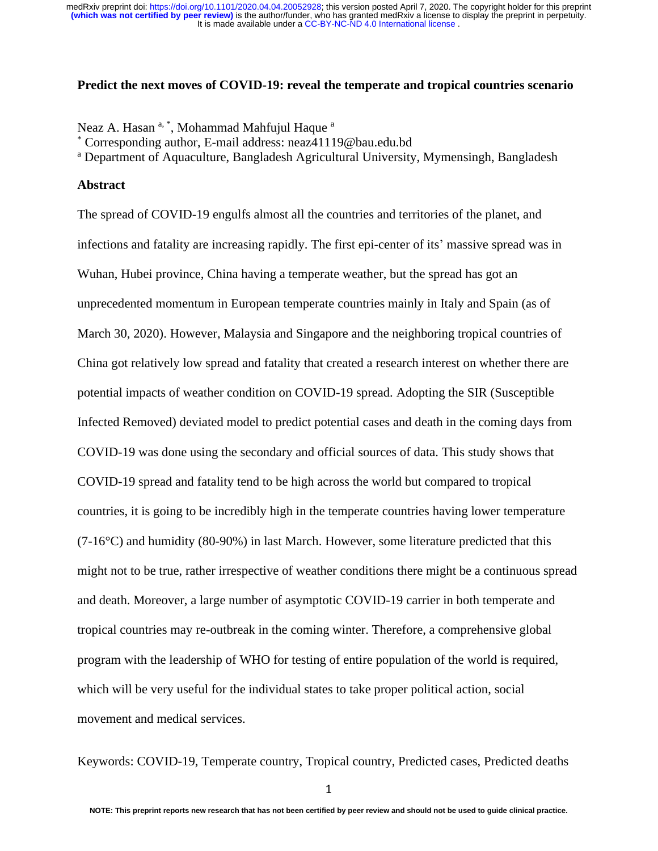#### **Predict the next moves of COVID-19: reveal the temperate and tropical countries scenario**

Neaz A. Hasan  $a^*$ , Mohammad Mahfujul Haque  $a^*$ 

\* Corresponding author, E-mail address: neaz41119@bau.edu.bd

<sup>a</sup> Department of Aquaculture, Bangladesh Agricultural University, Mymensingh, Bangladesh

#### **Abstract**

The spread of COVID-19 engulfs almost all the countries and territories of the planet, and infections and fatality are increasing rapidly. The first epi-center of its' massive spread was in Wuhan, Hubei province, China having a temperate weather, but the spread has got an unprecedented momentum in European temperate countries mainly in Italy and Spain (as of March 30, 2020). However, Malaysia and Singapore and the neighboring tropical countries of China got relatively low spread and fatality that created a research interest on whether there are potential impacts of weather condition on COVID-19 spread. Adopting the SIR (Susceptible Infected Removed) deviated model to predict potential cases and death in the coming days from COVID-19 was done using the secondary and official sources of data. This study shows that COVID-19 spread and fatality tend to be high across the world but compared to tropical countries, it is going to be incredibly high in the temperate countries having lower temperature  $(7-16\degree C)$  and humidity  $(80-90\%)$  in last March. However, some literature predicted that this might not to be true, rather irrespective of weather conditions there might be a continuous spread and death. Moreover, a large number of asymptotic COVID-19 carrier in both temperate and tropical countries may re-outbreak in the coming winter. Therefore, a comprehensive global program with the leadership of WHO for testing of entire population of the world is required, which will be very useful for the individual states to take proper political action, social movement and medical services.

Keywords: COVID-19, Temperate country, Tropical country, Predicted cases, Predicted deaths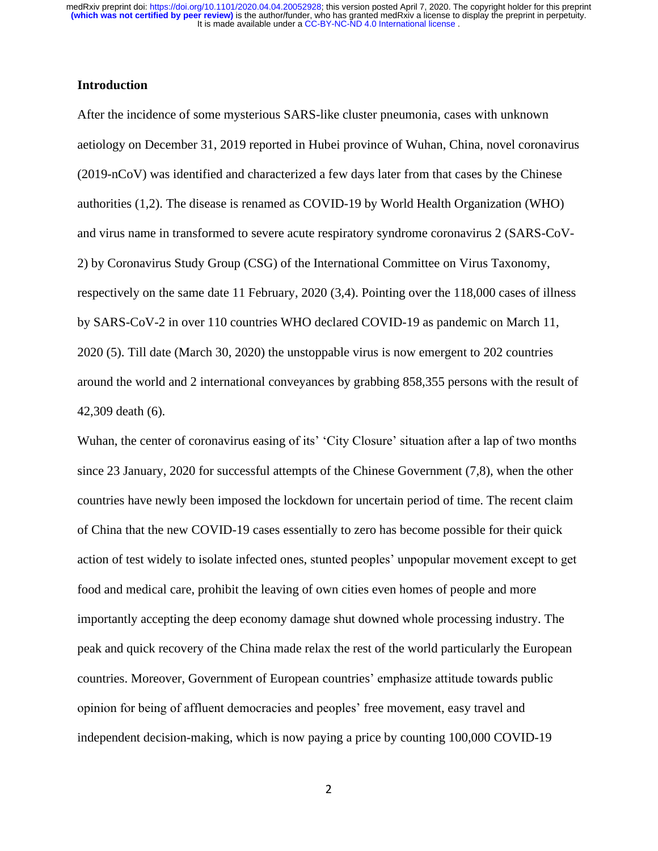## **Introduction**

After the incidence of some mysterious SARS-like cluster pneumonia, cases with unknown aetiology on December 31, 2019 reported in Hubei province of Wuhan, China, novel coronavirus (2019-nCoV) was identified and characterized a few days later from that cases by the Chinese authorities (1,2). The disease is renamed as COVID-19 by World Health Organization (WHO) and virus name in transformed to severe acute respiratory syndrome coronavirus 2 (SARS-CoV-2) by Coronavirus Study Group (CSG) of the International Committee on Virus Taxonomy, respectively on the same date 11 February, 2020 (3,4). Pointing over the 118,000 cases of illness by SARS-CoV-2 in over 110 countries WHO declared COVID-19 as pandemic on March 11, 2020 (5). Till date (March 30, 2020) the unstoppable virus is now emergent to 202 countries around the world and 2 international conveyances by grabbing 858,355 persons with the result of 42,309 death (6).

Wuhan, the center of coronavirus easing of its' 'City Closure' situation after a lap of two months since 23 January, 2020 for successful attempts of the Chinese Government (7,8), when the other countries have newly been imposed the lockdown for uncertain period of time. The recent claim of China that the new COVID-19 cases essentially to zero has become possible for their quick action of test widely to isolate infected ones, stunted peoples' unpopular movement except to get food and medical care, prohibit the leaving of own cities even homes of people and more importantly accepting the deep economy damage shut downed whole processing industry. The peak and quick recovery of the China made relax the rest of the world particularly the European countries. Moreover, Government of European countries' emphasize attitude towards public opinion for being of affluent democracies and peoples' free movement, easy travel and independent decision-making, which is now paying a price by counting 100,000 COVID-19

2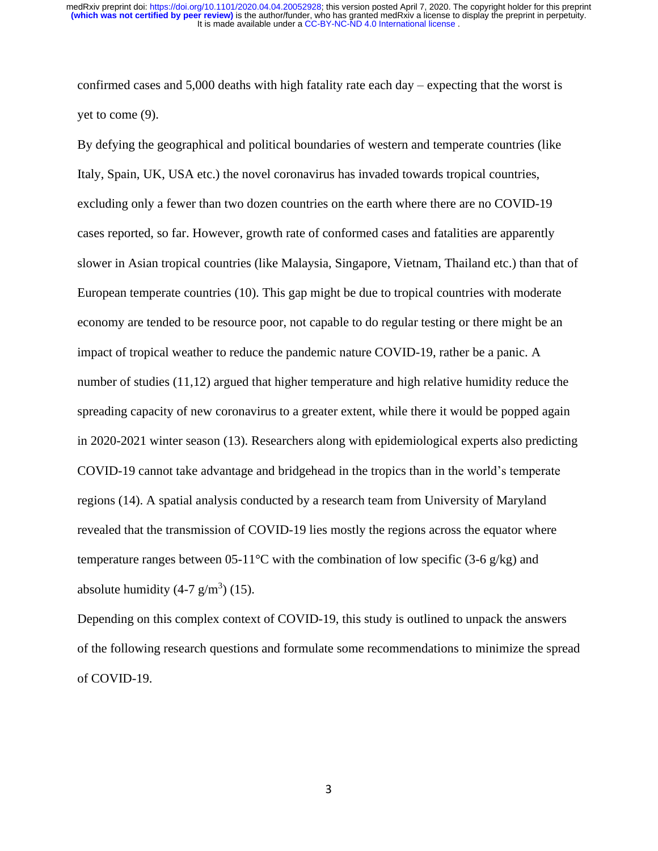confirmed cases and 5,000 deaths with high fatality rate each day – expecting that the worst is yet to come (9).

By defying the geographical and political boundaries of western and temperate countries (like Italy, Spain, UK, USA etc.) the novel coronavirus has invaded towards tropical countries, excluding only a fewer than two dozen countries on the earth where there are no COVID-19 cases reported, so far. However, growth rate of conformed cases and fatalities are apparently slower in Asian tropical countries (like Malaysia, Singapore, Vietnam, Thailand etc.) than that of European temperate countries (10). This gap might be due to tropical countries with moderate economy are tended to be resource poor, not capable to do regular testing or there might be an impact of tropical weather to reduce the pandemic nature COVID-19, rather be a panic. A number of studies (11,12) argued that higher temperature and high relative humidity reduce the spreading capacity of new coronavirus to a greater extent, while there it would be popped again in 2020-2021 winter season (13). Researchers along with epidemiological experts also predicting COVID-19 cannot take advantage and bridgehead in the tropics than in the world's temperate regions (14). A spatial analysis conducted by a research team from University of Maryland revealed that the transmission of COVID-19 lies mostly the regions across the equator where temperature ranges between 05-11<sup>o</sup>C with the combination of low specific (3-6 g/kg) and absolute humidity  $(4-7 \text{ g/m}^3)$  (15).

Depending on this complex context of COVID-19, this study is outlined to unpack the answers of the following research questions and formulate some recommendations to minimize the spread of COVID-19.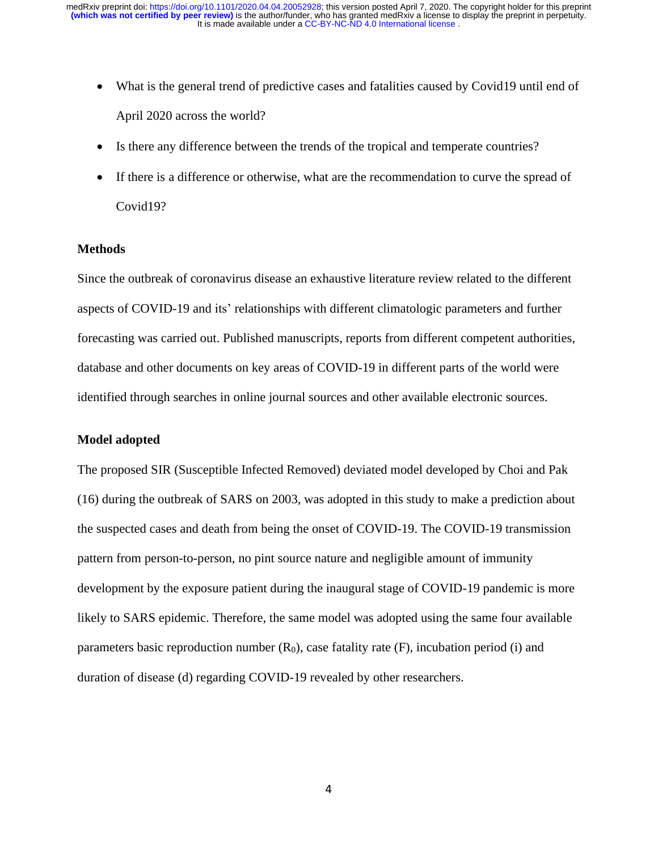- What is the general trend of predictive cases and fatalities caused by Covid19 until end of April 2020 across the world?
- Is there any difference between the trends of the tropical and temperate countries?
- If there is a difference or otherwise, what are the recommendation to curve the spread of Covid19?

## **Methods**

Since the outbreak of coronavirus disease an exhaustive literature review related to the different aspects of COVID-19 and its' relationships with different climatologic parameters and further forecasting was carried out. Published manuscripts, reports from different competent authorities, database and other documents on key areas of COVID-19 in different parts of the world were identified through searches in online journal sources and other available electronic sources.

## **Model adopted**

The proposed SIR (Susceptible Infected Removed) deviated model developed by Choi and Pak (16) during the outbreak of SARS on 2003, was adopted in this study to make a prediction about the suspected cases and death from being the onset of COVID-19. The COVID-19 transmission pattern from person-to-person, no pint source nature and negligible amount of immunity development by the exposure patient during the inaugural stage of COVID-19 pandemic is more likely to SARS epidemic. Therefore, the same model was adopted using the same four available parameters basic reproduction number  $(R_0)$ , case fatality rate  $(F)$ , incubation period (i) and duration of disease (d) regarding COVID-19 revealed by other researchers.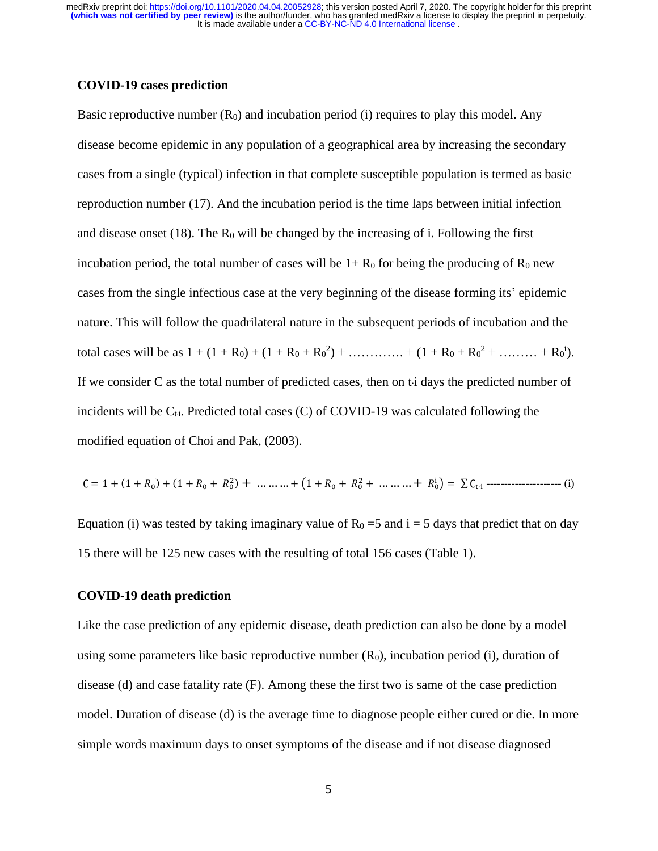## **COVID-19 cases prediction**

Basic reproductive number  $(R_0)$  and incubation period (i) requires to play this model. Any disease become epidemic in any population of a geographical area by increasing the secondary cases from a single (typical) infection in that complete susceptible population is termed as basic reproduction number (17). And the incubation period is the time laps between initial infection and disease onset (18). The  $R_0$  will be changed by the increasing of i. Following the first incubation period, the total number of cases will be  $1+ R_0$  for being the producing of  $R_0$  new cases from the single infectious case at the very beginning of the disease forming its' epidemic nature. This will follow the quadrilateral nature in the subsequent periods of incubation and the total cases will be as  $1 + (1 + R_0) + (1 + R_0 + R_0^2) + \dots + (1 + R_0 + R_0^2 + \dots + R_0^i)$ . If we consider C as the total number of predicted cases, then on the days the predicted number of incidents will be  $C_{ti}$ . Predicted total cases (C) of COVID-19 was calculated following the modified equation of Choi and Pak, (2003).

$$
C = 1 + (1 + R_0) + (1 + R_0 + R_0^2) + \dots + (1 + R_0 + R_0^2 + \dots + R_0^1) = \sum C_{t_i}
$$

Equation (i) was tested by taking imaginary value of  $R_0 = 5$  and  $i = 5$  days that predict that on day 15 there will be 125 new cases with the resulting of total 156 cases (Table 1).

## **COVID-19 death prediction**

Like the case prediction of any epidemic disease, death prediction can also be done by a model using some parameters like basic reproductive number  $(R_0)$ , incubation period (i), duration of disease (d) and case fatality rate (F). Among these the first two is same of the case prediction model. Duration of disease (d) is the average time to diagnose people either cured or die. In more simple words maximum days to onset symptoms of the disease and if not disease diagnosed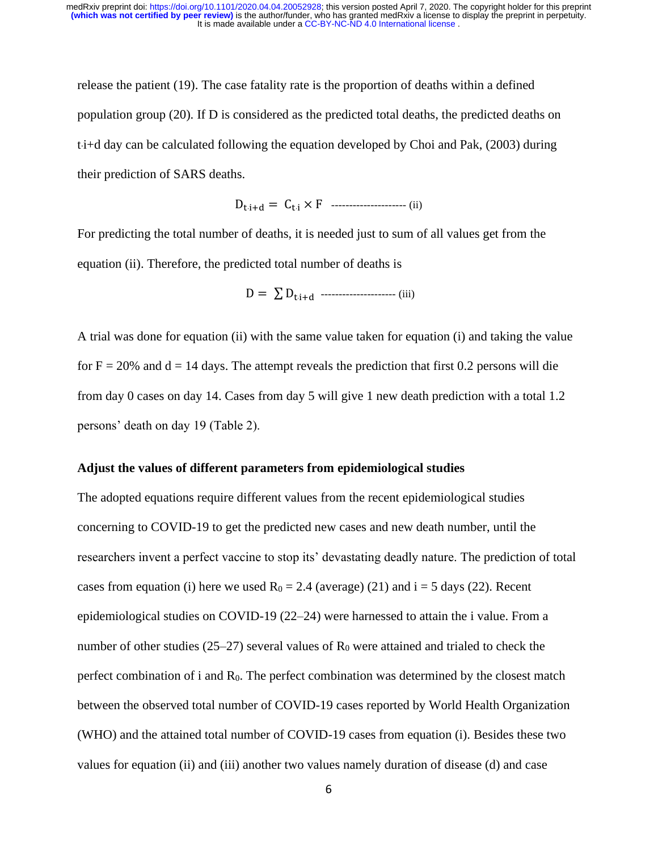release the patient (19). The case fatality rate is the proportion of deaths within a defined population group (20). If D is considered as the predicted total deaths, the predicted deaths on ti+d day can be calculated following the equation developed by Choi and Pak, (2003) during their prediction of SARS deaths.

Dt·i+d = Ct·<sup>i</sup> × F --------------------- (ii)

For predicting the total number of deaths, it is needed just to sum of all values get from the equation (ii). Therefore, the predicted total number of deaths is

D = ∑ Dt·i+d --------------------- (iii)

A trial was done for equation (ii) with the same value taken for equation (i) and taking the value for  $F = 20\%$  and  $d = 14$  days. The attempt reveals the prediction that first 0.2 persons will die from day 0 cases on day 14. Cases from day 5 will give 1 new death prediction with a total 1.2 persons' death on day 19 (Table 2).

#### **Adjust the values of different parameters from epidemiological studies**

The adopted equations require different values from the recent epidemiological studies concerning to COVID-19 to get the predicted new cases and new death number, until the researchers invent a perfect vaccine to stop its' devastating deadly nature. The prediction of total cases from equation (i) here we used  $R_0 = 2.4$  (average) (21) and i = 5 days (22). Recent epidemiological studies on COVID-19 (22–24) were harnessed to attain the i value. From a number of other studies (25–27) several values of  $R_0$  were attained and trialed to check the perfect combination of i and  $R_0$ . The perfect combination was determined by the closest match between the observed total number of COVID-19 cases reported by World Health Organization (WHO) and the attained total number of COVID-19 cases from equation (i). Besides these two values for equation (ii) and (iii) another two values namely duration of disease (d) and case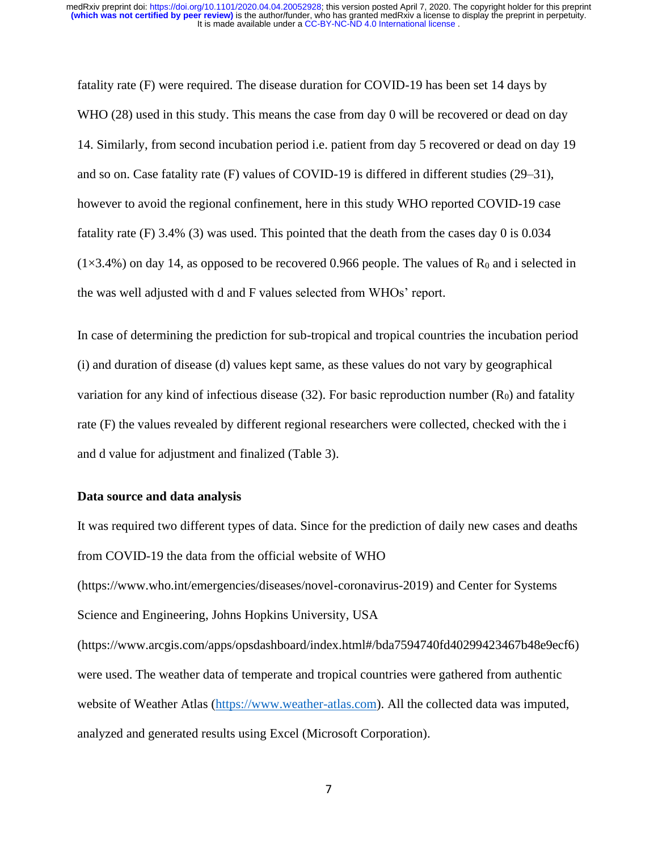fatality rate (F) were required. The disease duration for COVID-19 has been set 14 days by WHO (28) used in this study. This means the case from day 0 will be recovered or dead on day 14. Similarly, from second incubation period i.e. patient from day 5 recovered or dead on day 19 and so on. Case fatality rate (F) values of COVID-19 is differed in different studies (29–31), however to avoid the regional confinement, here in this study WHO reported COVID-19 case fatality rate (F) 3.4% (3) was used. This pointed that the death from the cases day 0 is 0.034  $(1\times3.4\%)$  on day 14, as opposed to be recovered 0.966 people. The values of R<sub>0</sub> and i selected in the was well adjusted with d and F values selected from WHOs' report.

In case of determining the prediction for sub-tropical and tropical countries the incubation period (i) and duration of disease (d) values kept same, as these values do not vary by geographical variation for any kind of infectious disease  $(32)$ . For basic reproduction number  $(R_0)$  and fatality rate (F) the values revealed by different regional researchers were collected, checked with the i and d value for adjustment and finalized (Table 3).

#### **Data source and data analysis**

It was required two different types of data. Since for the prediction of daily new cases and deaths from COVID-19 the data from the official website of WHO (https://www.who.int/emergencies/diseases/novel-coronavirus-2019) and Center for Systems Science and Engineering, Johns Hopkins University, USA (https://www.arcgis.com/apps/opsdashboard/index.html#/bda7594740fd40299423467b48e9ecf6) were used. The weather data of temperate and tropical countries were gathered from authentic website of Weather Atlas [\(https://www.weather-atlas.com\)](https://www.weather-atlas.com/). All the collected data was imputed, analyzed and generated results using Excel (Microsoft Corporation).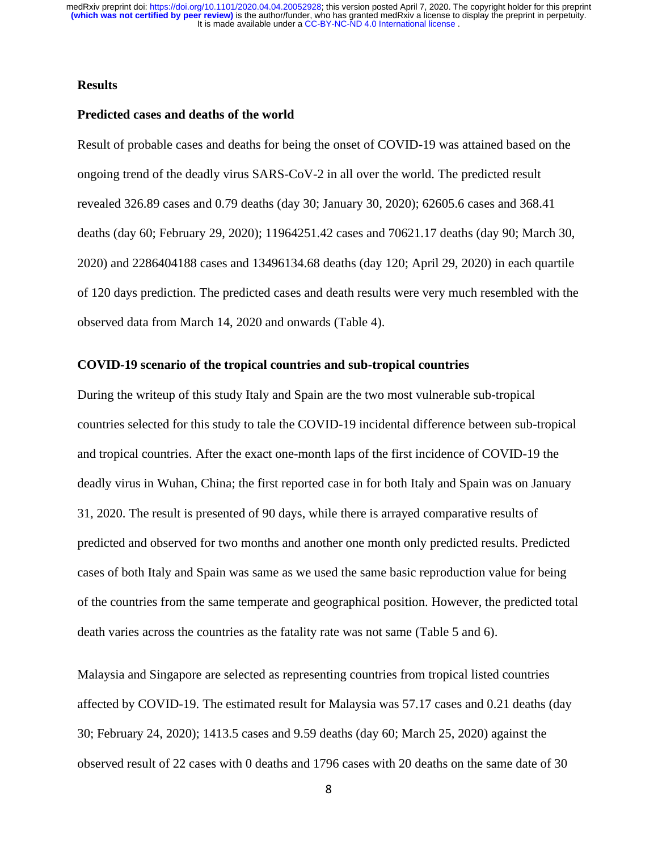## **Results**

#### **Predicted cases and deaths of the world**

Result of probable cases and deaths for being the onset of COVID-19 was attained based on the ongoing trend of the deadly virus SARS-CoV-2 in all over the world. The predicted result revealed 326.89 cases and 0.79 deaths (day 30; January 30, 2020); 62605.6 cases and 368.41 deaths (day 60; February 29, 2020); 11964251.42 cases and 70621.17 deaths (day 90; March 30, 2020) and 2286404188 cases and 13496134.68 deaths (day 120; April 29, 2020) in each quartile of 120 days prediction. The predicted cases and death results were very much resembled with the observed data from March 14, 2020 and onwards (Table 4).

#### **COVID-19 scenario of the tropical countries and sub-tropical countries**

During the writeup of this study Italy and Spain are the two most vulnerable sub-tropical countries selected for this study to tale the COVID-19 incidental difference between sub-tropical and tropical countries. After the exact one-month laps of the first incidence of COVID-19 the deadly virus in Wuhan, China; the first reported case in for both Italy and Spain was on January 31, 2020. The result is presented of 90 days, while there is arrayed comparative results of predicted and observed for two months and another one month only predicted results. Predicted cases of both Italy and Spain was same as we used the same basic reproduction value for being of the countries from the same temperate and geographical position. However, the predicted total death varies across the countries as the fatality rate was not same (Table 5 and 6).

Malaysia and Singapore are selected as representing countries from tropical listed countries affected by COVID-19. The estimated result for Malaysia was 57.17 cases and 0.21 deaths (day 30; February 24, 2020); 1413.5 cases and 9.59 deaths (day 60; March 25, 2020) against the observed result of 22 cases with 0 deaths and 1796 cases with 20 deaths on the same date of 30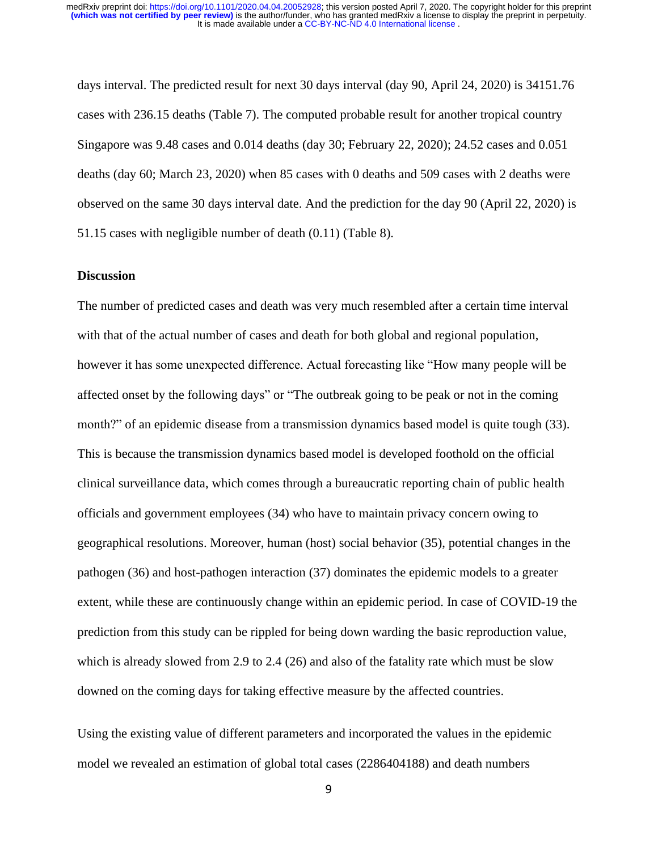days interval. The predicted result for next 30 days interval (day 90, April 24, 2020) is 34151.76 cases with 236.15 deaths (Table 7). The computed probable result for another tropical country Singapore was 9.48 cases and 0.014 deaths (day 30; February 22, 2020); 24.52 cases and 0.051 deaths (day 60; March 23, 2020) when 85 cases with 0 deaths and 509 cases with 2 deaths were observed on the same 30 days interval date. And the prediction for the day 90 (April 22, 2020) is 51.15 cases with negligible number of death (0.11) (Table 8).

#### **Discussion**

The number of predicted cases and death was very much resembled after a certain time interval with that of the actual number of cases and death for both global and regional population, however it has some unexpected difference. Actual forecasting like "How many people will be affected onset by the following days" or "The outbreak going to be peak or not in the coming month?" of an epidemic disease from a transmission dynamics based model is quite tough (33). This is because the transmission dynamics based model is developed foothold on the official clinical surveillance data, which comes through a bureaucratic reporting chain of public health officials and government employees (34) who have to maintain privacy concern owing to geographical resolutions. Moreover, human (host) social behavior (35), potential changes in the pathogen (36) and host-pathogen interaction (37) dominates the epidemic models to a greater extent, while these are continuously change within an epidemic period. In case of COVID-19 the prediction from this study can be rippled for being down warding the basic reproduction value, which is already slowed from 2.9 to 2.4 (26) and also of the fatality rate which must be slow downed on the coming days for taking effective measure by the affected countries.

Using the existing value of different parameters and incorporated the values in the epidemic model we revealed an estimation of global total cases (2286404188) and death numbers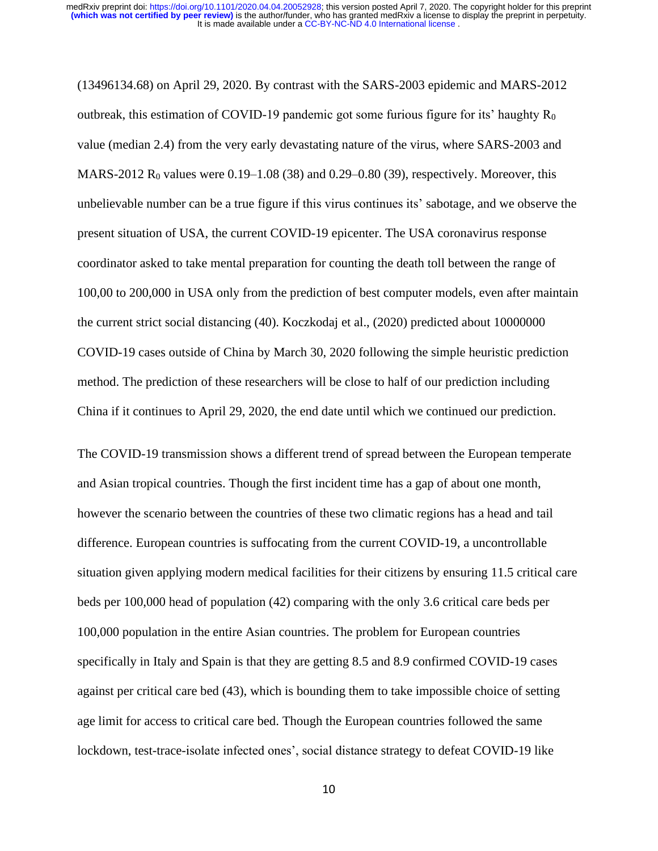(13496134.68) on April 29, 2020. By contrast with the SARS-2003 epidemic and MARS-2012 outbreak, this estimation of COVID-19 pandemic got some furious figure for its' haughty  $R_0$ value (median 2.4) from the very early devastating nature of the virus, where SARS-2003 and MARS-2012 R<sub>0</sub> values were  $0.19-1.08$  (38) and  $0.29-0.80$  (39), respectively. Moreover, this unbelievable number can be a true figure if this virus continues its' sabotage, and we observe the present situation of USA, the current COVID-19 epicenter. The USA coronavirus response coordinator asked to take mental preparation for counting the death toll between the range of 100,00 to 200,000 in USA only from the prediction of best computer models, even after maintain the current strict social distancing (40). Koczkodaj et al., (2020) predicted about 10000000 COVID-19 cases outside of China by March 30, 2020 following the simple heuristic prediction method. The prediction of these researchers will be close to half of our prediction including China if it continues to April 29, 2020, the end date until which we continued our prediction.

The COVID-19 transmission shows a different trend of spread between the European temperate and Asian tropical countries. Though the first incident time has a gap of about one month, however the scenario between the countries of these two climatic regions has a head and tail difference. European countries is suffocating from the current COVID-19, a uncontrollable situation given applying modern medical facilities for their citizens by ensuring 11.5 critical care beds per 100,000 head of population (42) comparing with the only 3.6 critical care beds per 100,000 population in the entire Asian countries. The problem for European countries specifically in Italy and Spain is that they are getting 8.5 and 8.9 confirmed COVID-19 cases against per critical care bed (43), which is bounding them to take impossible choice of setting age limit for access to critical care bed. Though the European countries followed the same lockdown, test-trace-isolate infected ones', social distance strategy to defeat COVID-19 like

10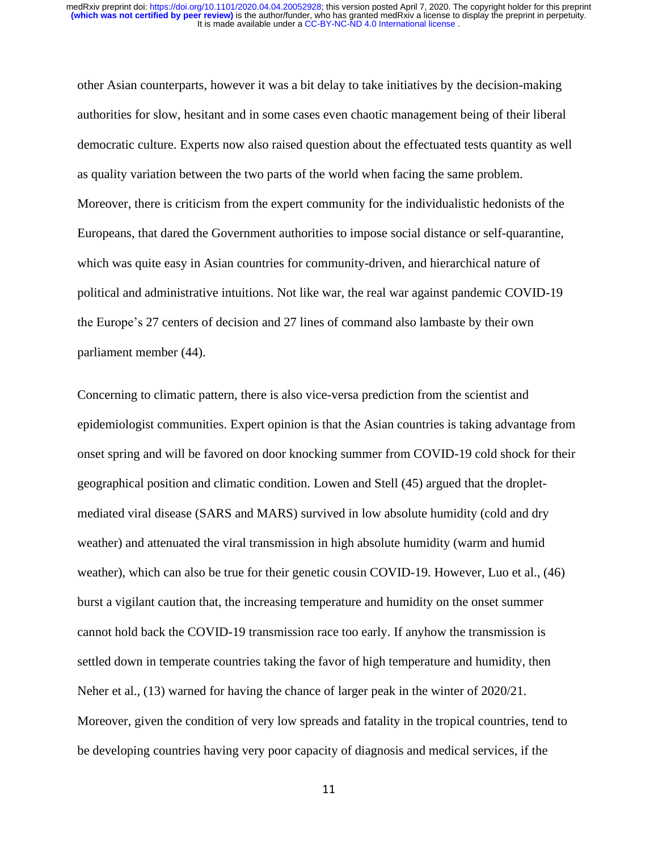other Asian counterparts, however it was a bit delay to take initiatives by the decision-making authorities for slow, hesitant and in some cases even chaotic management being of their liberal democratic culture. Experts now also raised question about the effectuated tests quantity as well as quality variation between the two parts of the world when facing the same problem. Moreover, there is criticism from the expert community for the individualistic hedonists of the Europeans, that dared the Government authorities to impose social distance or self-quarantine, which was quite easy in Asian countries for community-driven, and hierarchical nature of political and administrative intuitions. Not like war, the real war against pandemic COVID-19 the Europe's 27 centers of decision and 27 lines of command also lambaste by their own parliament member (44).

Concerning to climatic pattern, there is also vice-versa prediction from the scientist and epidemiologist communities. Expert opinion is that the Asian countries is taking advantage from onset spring and will be favored on door knocking summer from COVID-19 cold shock for their geographical position and climatic condition. Lowen and Stell (45) argued that the dropletmediated viral disease (SARS and MARS) survived in low absolute humidity (cold and dry weather) and attenuated the viral transmission in high absolute humidity (warm and humid weather), which can also be true for their genetic cousin COVID-19. However, Luo et al., (46) burst a vigilant caution that, the increasing temperature and humidity on the onset summer cannot hold back the COVID-19 transmission race too early. If anyhow the transmission is settled down in temperate countries taking the favor of high temperature and humidity, then Neher et al., (13) warned for having the chance of larger peak in the winter of 2020/21. Moreover, given the condition of very low spreads and fatality in the tropical countries, tend to be developing countries having very poor capacity of diagnosis and medical services, if the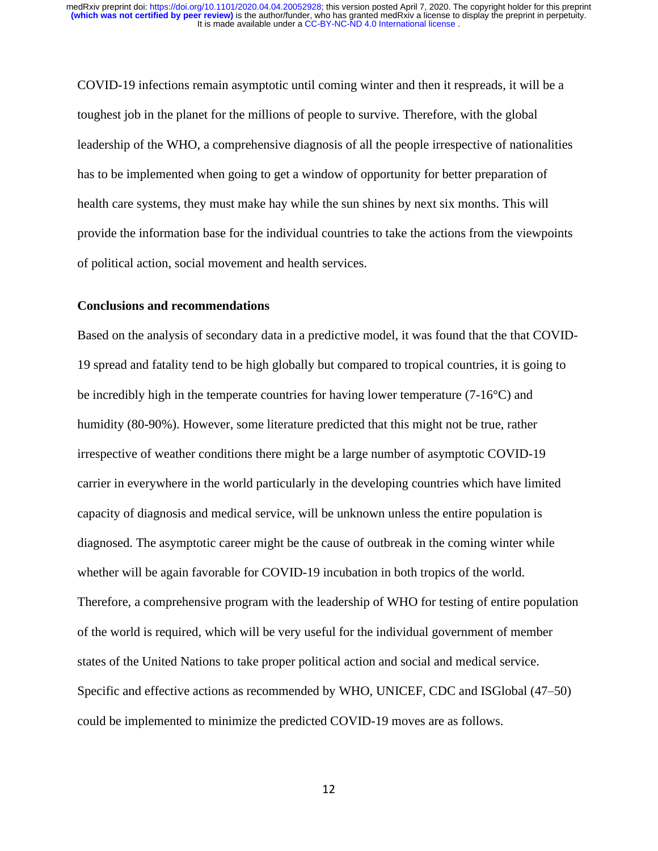COVID-19 infections remain asymptotic until coming winter and then it respreads, it will be a toughest job in the planet for the millions of people to survive. Therefore, with the global leadership of the WHO, a comprehensive diagnosis of all the people irrespective of nationalities has to be implemented when going to get a window of opportunity for better preparation of health care systems, they must make hay while the sun shines by next six months. This will provide the information base for the individual countries to take the actions from the viewpoints of political action, social movement and health services.

#### **Conclusions and recommendations**

Based on the analysis of secondary data in a predictive model, it was found that the that COVID-19 spread and fatality tend to be high globally but compared to tropical countries, it is going to be incredibly high in the temperate countries for having lower temperature (7-16°C) and humidity (80-90%). However, some literature predicted that this might not be true, rather irrespective of weather conditions there might be a large number of asymptotic COVID-19 carrier in everywhere in the world particularly in the developing countries which have limited capacity of diagnosis and medical service, will be unknown unless the entire population is diagnosed. The asymptotic career might be the cause of outbreak in the coming winter while whether will be again favorable for COVID-19 incubation in both tropics of the world. Therefore, a comprehensive program with the leadership of WHO for testing of entire population of the world is required, which will be very useful for the individual government of member states of the United Nations to take proper political action and social and medical service. Specific and effective actions as recommended by WHO, UNICEF, CDC and ISGlobal (47–50) could be implemented to minimize the predicted COVID-19 moves are as follows.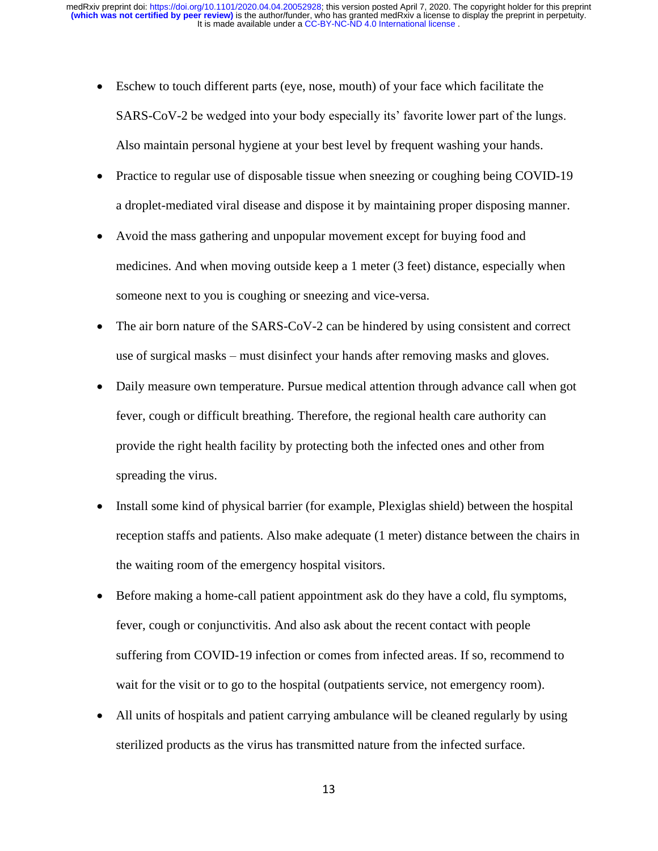- Eschew to touch different parts (eye, nose, mouth) of your face which facilitate the SARS-CoV-2 be wedged into your body especially its' favorite lower part of the lungs. Also maintain personal hygiene at your best level by frequent washing your hands.
- Practice to regular use of disposable tissue when sneezing or coughing being COVID-19 a droplet-mediated viral disease and dispose it by maintaining proper disposing manner.
- Avoid the mass gathering and unpopular movement except for buying food and medicines. And when moving outside keep a 1 meter (3 feet) distance, especially when someone next to you is coughing or sneezing and vice-versa.
- The air born nature of the SARS-CoV-2 can be hindered by using consistent and correct use of surgical masks – must disinfect your hands after removing masks and gloves.
- Daily measure own temperature. Pursue medical attention through advance call when got fever, cough or difficult breathing. Therefore, the regional health care authority can provide the right health facility by protecting both the infected ones and other from spreading the virus.
- Install some kind of physical barrier (for example, Plexiglas shield) between the hospital reception staffs and patients. Also make adequate (1 meter) distance between the chairs in the waiting room of the emergency hospital visitors.
- Before making a home-call patient appointment ask do they have a cold, flu symptoms, fever, cough or conjunctivitis. And also ask about the recent contact with people suffering from COVID-19 infection or comes from infected areas. If so, recommend to wait for the visit or to go to the hospital (outpatients service, not emergency room).
- All units of hospitals and patient carrying ambulance will be cleaned regularly by using sterilized products as the virus has transmitted nature from the infected surface.

13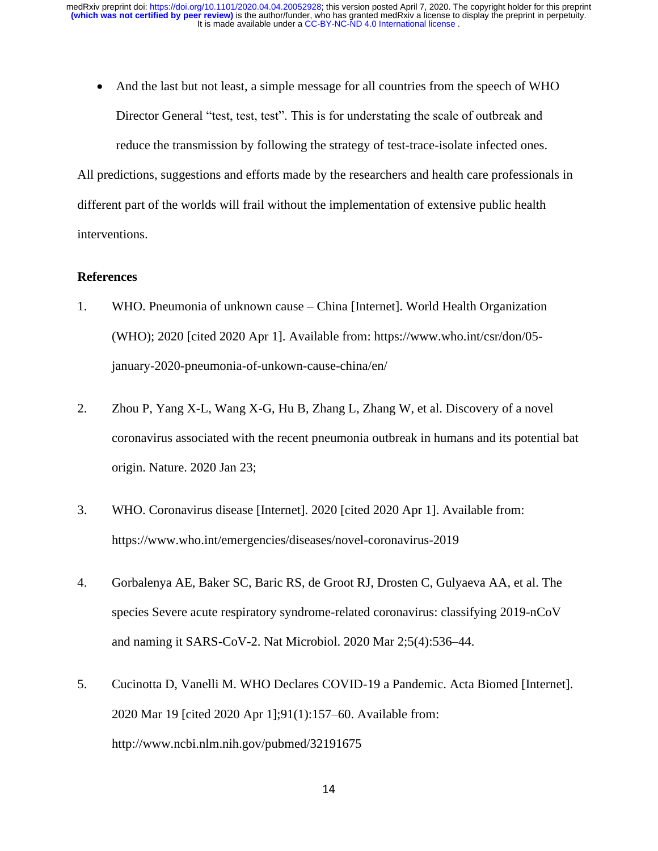• And the last but not least, a simple message for all countries from the speech of WHO Director General "test, test, test". This is for understating the scale of outbreak and reduce the transmission by following the strategy of test-trace-isolate infected ones.

All predictions, suggestions and efforts made by the researchers and health care professionals in different part of the worlds will frail without the implementation of extensive public health interventions.

## **References**

- 1. WHO. Pneumonia of unknown cause China [Internet]. World Health Organization (WHO); 2020 [cited 2020 Apr 1]. Available from: https://www.who.int/csr/don/05 january-2020-pneumonia-of-unkown-cause-china/en/
- 2. Zhou P, Yang X-L, Wang X-G, Hu B, Zhang L, Zhang W, et al. Discovery of a novel coronavirus associated with the recent pneumonia outbreak in humans and its potential bat origin. Nature. 2020 Jan 23;
- 3. WHO. Coronavirus disease [Internet]. 2020 [cited 2020 Apr 1]. Available from: https://www.who.int/emergencies/diseases/novel-coronavirus-2019
- 4. Gorbalenya AE, Baker SC, Baric RS, de Groot RJ, Drosten C, Gulyaeva AA, et al. The species Severe acute respiratory syndrome-related coronavirus: classifying 2019-nCoV and naming it SARS-CoV-2. Nat Microbiol. 2020 Mar 2;5(4):536–44.
- 5. Cucinotta D, Vanelli M. WHO Declares COVID-19 a Pandemic. Acta Biomed [Internet]. 2020 Mar 19 [cited 2020 Apr 1];91(1):157–60. Available from: http://www.ncbi.nlm.nih.gov/pubmed/32191675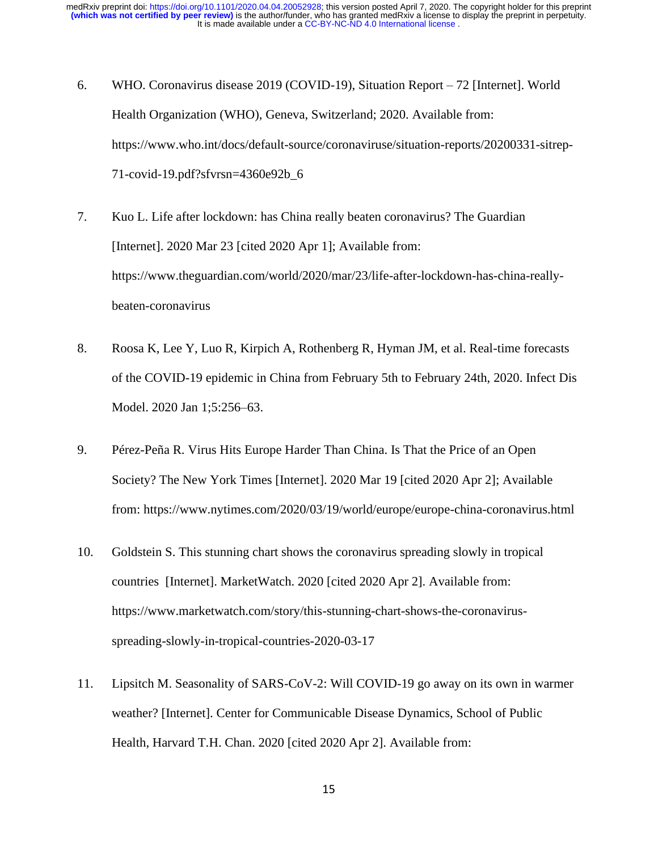- 6. WHO. Coronavirus disease 2019 (COVID-19), Situation Report 72 [Internet]. World Health Organization (WHO), Geneva, Switzerland; 2020. Available from: https://www.who.int/docs/default-source/coronaviruse/situation-reports/20200331-sitrep-71-covid-19.pdf?sfvrsn=4360e92b\_6
- 7. Kuo L. Life after lockdown: has China really beaten coronavirus? The Guardian [Internet]. 2020 Mar 23 [cited 2020 Apr 1]; Available from: https://www.theguardian.com/world/2020/mar/23/life-after-lockdown-has-china-reallybeaten-coronavirus
- 8. Roosa K, Lee Y, Luo R, Kirpich A, Rothenberg R, Hyman JM, et al. Real-time forecasts of the COVID-19 epidemic in China from February 5th to February 24th, 2020. Infect Dis Model. 2020 Jan 1;5:256–63.
- 9. Pérez-Peña R. Virus Hits Europe Harder Than China. Is That the Price of an Open Society? The New York Times [Internet]. 2020 Mar 19 [cited 2020 Apr 2]; Available from: https://www.nytimes.com/2020/03/19/world/europe/europe-china-coronavirus.html
- 10. Goldstein S. This stunning chart shows the coronavirus spreading slowly in tropical countries [Internet]. MarketWatch. 2020 [cited 2020 Apr 2]. Available from: https://www.marketwatch.com/story/this-stunning-chart-shows-the-coronavirusspreading-slowly-in-tropical-countries-2020-03-17
- 11. Lipsitch M. Seasonality of SARS-CoV-2: Will COVID-19 go away on its own in warmer weather? [Internet]. Center for Communicable Disease Dynamics, School of Public Health, Harvard T.H. Chan. 2020 [cited 2020 Apr 2]. Available from: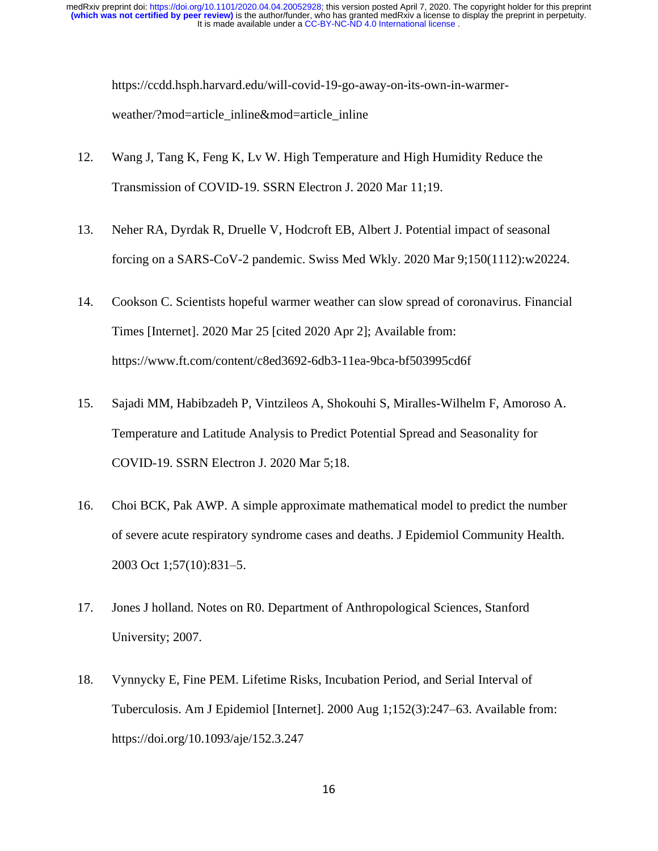https://ccdd.hsph.harvard.edu/will-covid-19-go-away-on-its-own-in-warmerweather/?mod=article\_inline&mod=article\_inline

- 12. Wang J, Tang K, Feng K, Lv W. High Temperature and High Humidity Reduce the Transmission of COVID-19. SSRN Electron J. 2020 Mar 11;19.
- 13. Neher RA, Dyrdak R, Druelle V, Hodcroft EB, Albert J. Potential impact of seasonal forcing on a SARS-CoV-2 pandemic. Swiss Med Wkly. 2020 Mar 9;150(1112):w20224.
- 14. Cookson C. Scientists hopeful warmer weather can slow spread of coronavirus. Financial Times [Internet]. 2020 Mar 25 [cited 2020 Apr 2]; Available from: https://www.ft.com/content/c8ed3692-6db3-11ea-9bca-bf503995cd6f
- 15. Sajadi MM, Habibzadeh P, Vintzileos A, Shokouhi S, Miralles-Wilhelm F, Amoroso A. Temperature and Latitude Analysis to Predict Potential Spread and Seasonality for COVID-19. SSRN Electron J. 2020 Mar 5;18.
- 16. Choi BCK, Pak AWP. A simple approximate mathematical model to predict the number of severe acute respiratory syndrome cases and deaths. J Epidemiol Community Health. 2003 Oct 1;57(10):831–5.
- 17. Jones J holland. Notes on R0. Department of Anthropological Sciences, Stanford University; 2007.
- 18. Vynnycky E, Fine PEM. Lifetime Risks, Incubation Period, and Serial Interval of Tuberculosis. Am J Epidemiol [Internet]. 2000 Aug 1;152(3):247–63. Available from: https://doi.org/10.1093/aje/152.3.247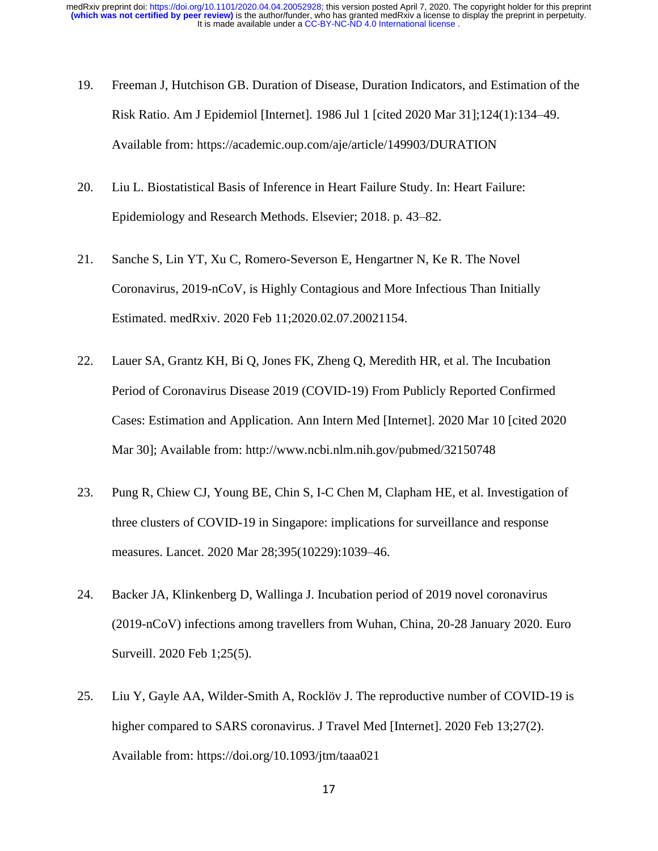- 19. Freeman J, Hutchison GB. Duration of Disease, Duration Indicators, and Estimation of the Risk Ratio. Am J Epidemiol [Internet]. 1986 Jul 1 [cited 2020 Mar 31];124(1):134–49. Available from: https://academic.oup.com/aje/article/149903/DURATION
- 20. Liu L. Biostatistical Basis of Inference in Heart Failure Study. In: Heart Failure: Epidemiology and Research Methods. Elsevier; 2018. p. 43–82.
- 21. Sanche S, Lin YT, Xu C, Romero-Severson E, Hengartner N, Ke R. The Novel Coronavirus, 2019-nCoV, is Highly Contagious and More Infectious Than Initially Estimated. medRxiv. 2020 Feb 11;2020.02.07.20021154.
- 22. Lauer SA, Grantz KH, Bi Q, Jones FK, Zheng Q, Meredith HR, et al. The Incubation Period of Coronavirus Disease 2019 (COVID-19) From Publicly Reported Confirmed Cases: Estimation and Application. Ann Intern Med [Internet]. 2020 Mar 10 [cited 2020 Mar 30]; Available from: http://www.ncbi.nlm.nih.gov/pubmed/32150748
- 23. Pung R, Chiew CJ, Young BE, Chin S, I-C Chen M, Clapham HE, et al. Investigation of three clusters of COVID-19 in Singapore: implications for surveillance and response measures. Lancet. 2020 Mar 28;395(10229):1039–46.
- 24. Backer JA, Klinkenberg D, Wallinga J. Incubation period of 2019 novel coronavirus (2019-nCoV) infections among travellers from Wuhan, China, 20-28 January 2020. Euro Surveill. 2020 Feb 1;25(5).
- 25. Liu Y, Gayle AA, Wilder-Smith A, Rocklöv J. The reproductive number of COVID-19 is higher compared to SARS coronavirus. J Travel Med [Internet]. 2020 Feb 13;27(2). Available from: https://doi.org/10.1093/jtm/taaa021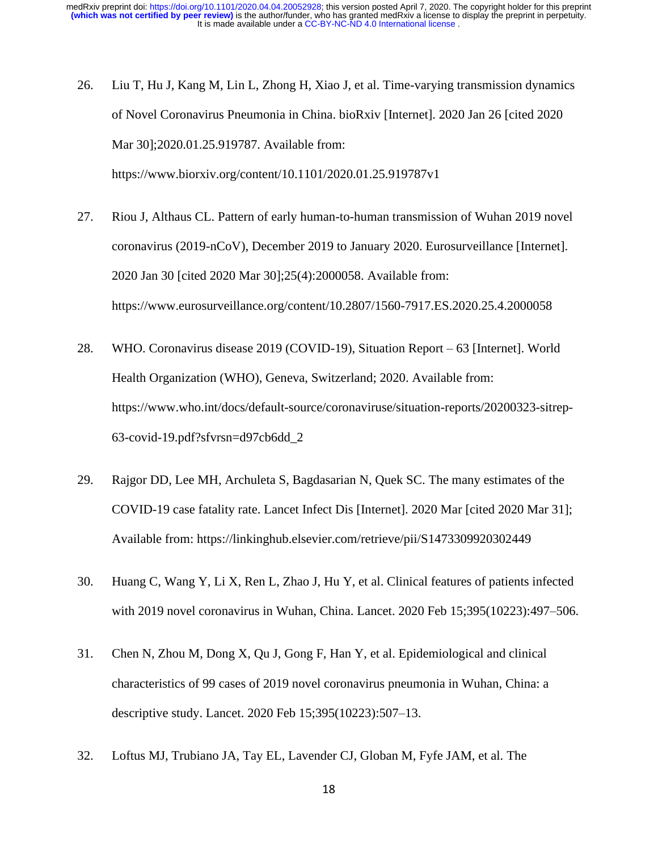- 26. Liu T, Hu J, Kang M, Lin L, Zhong H, Xiao J, et al. Time-varying transmission dynamics of Novel Coronavirus Pneumonia in China. bioRxiv [Internet]. 2020 Jan 26 [cited 2020 Mar 30];2020.01.25.919787. Available from: https://www.biorxiv.org/content/10.1101/2020.01.25.919787v1
- 27. Riou J, Althaus CL. Pattern of early human-to-human transmission of Wuhan 2019 novel coronavirus (2019-nCoV), December 2019 to January 2020. Eurosurveillance [Internet]. 2020 Jan 30 [cited 2020 Mar 30];25(4):2000058. Available from: https://www.eurosurveillance.org/content/10.2807/1560-7917.ES.2020.25.4.2000058
- 28. WHO. Coronavirus disease 2019 (COVID-19), Situation Report 63 [Internet]. World Health Organization (WHO), Geneva, Switzerland; 2020. Available from: https://www.who.int/docs/default-source/coronaviruse/situation-reports/20200323-sitrep-63-covid-19.pdf?sfvrsn=d97cb6dd\_2
- 29. Rajgor DD, Lee MH, Archuleta S, Bagdasarian N, Quek SC. The many estimates of the COVID-19 case fatality rate. Lancet Infect Dis [Internet]. 2020 Mar [cited 2020 Mar 31]; Available from: https://linkinghub.elsevier.com/retrieve/pii/S1473309920302449
- 30. Huang C, Wang Y, Li X, Ren L, Zhao J, Hu Y, et al. Clinical features of patients infected with 2019 novel coronavirus in Wuhan, China. Lancet. 2020 Feb 15;395(10223):497–506.
- 31. Chen N, Zhou M, Dong X, Qu J, Gong F, Han Y, et al. Epidemiological and clinical characteristics of 99 cases of 2019 novel coronavirus pneumonia in Wuhan, China: a descriptive study. Lancet. 2020 Feb 15;395(10223):507–13.
- 32. Loftus MJ, Trubiano JA, Tay EL, Lavender CJ, Globan M, Fyfe JAM, et al. The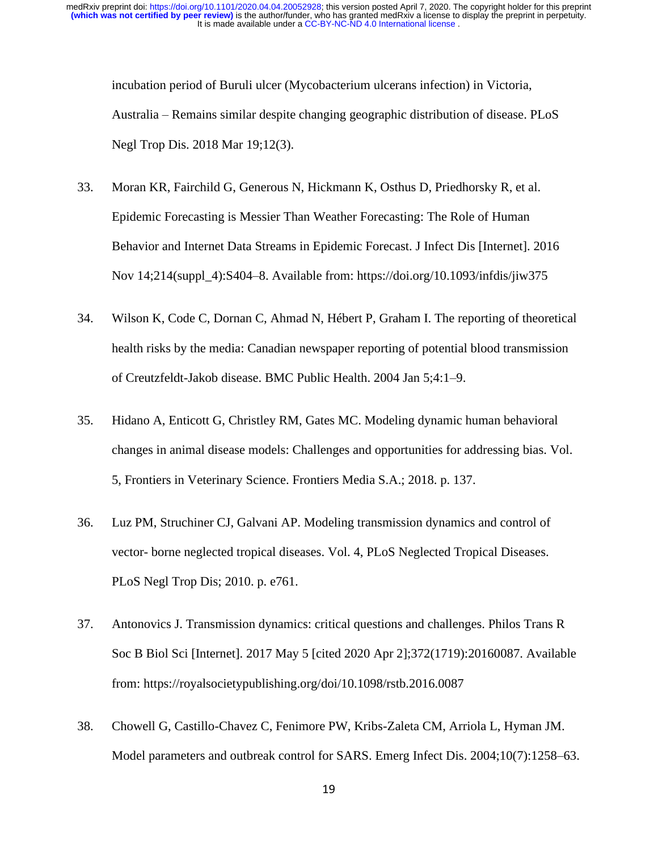incubation period of Buruli ulcer (Mycobacterium ulcerans infection) in Victoria, Australia – Remains similar despite changing geographic distribution of disease. PLoS Negl Trop Dis. 2018 Mar 19;12(3).

- 33. Moran KR, Fairchild G, Generous N, Hickmann K, Osthus D, Priedhorsky R, et al. Epidemic Forecasting is Messier Than Weather Forecasting: The Role of Human Behavior and Internet Data Streams in Epidemic Forecast. J Infect Dis [Internet]. 2016 Nov 14;214(suppl\_4):S404–8. Available from: https://doi.org/10.1093/infdis/jiw375
- 34. Wilson K, Code C, Dornan C, Ahmad N, Hébert P, Graham I. The reporting of theoretical health risks by the media: Canadian newspaper reporting of potential blood transmission of Creutzfeldt-Jakob disease. BMC Public Health. 2004 Jan 5;4:1–9.
- 35. Hidano A, Enticott G, Christley RM, Gates MC. Modeling dynamic human behavioral changes in animal disease models: Challenges and opportunities for addressing bias. Vol. 5, Frontiers in Veterinary Science. Frontiers Media S.A.; 2018. p. 137.
- 36. Luz PM, Struchiner CJ, Galvani AP. Modeling transmission dynamics and control of vector- borne neglected tropical diseases. Vol. 4, PLoS Neglected Tropical Diseases. PLoS Negl Trop Dis; 2010. p. e761.
- 37. Antonovics J. Transmission dynamics: critical questions and challenges. Philos Trans R Soc B Biol Sci [Internet]. 2017 May 5 [cited 2020 Apr 2];372(1719):20160087. Available from: https://royalsocietypublishing.org/doi/10.1098/rstb.2016.0087
- 38. Chowell G, Castillo-Chavez C, Fenimore PW, Kribs-Zaleta CM, Arriola L, Hyman JM. Model parameters and outbreak control for SARS. Emerg Infect Dis. 2004;10(7):1258–63.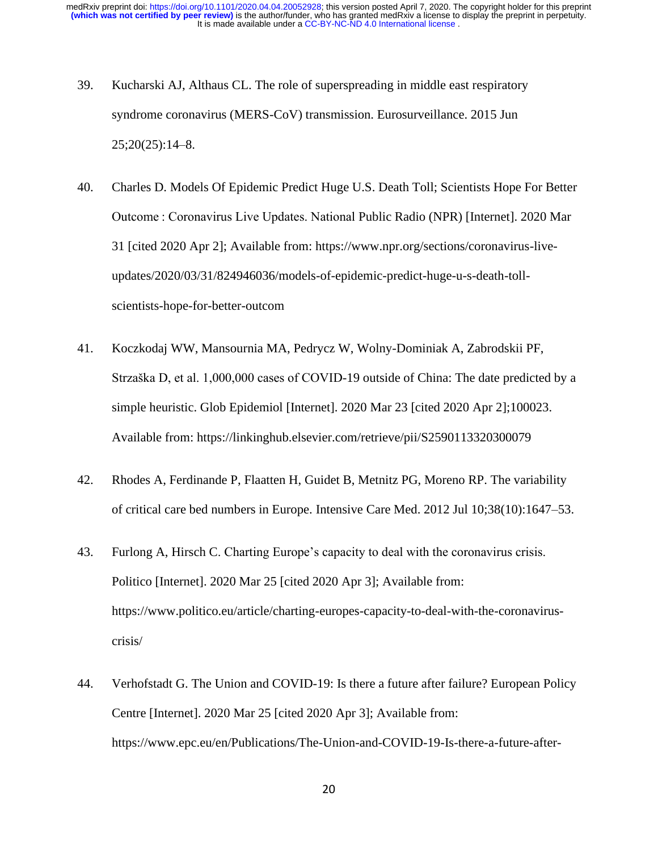- 39. Kucharski AJ, Althaus CL. The role of superspreading in middle east respiratory syndrome coronavirus (MERS-CoV) transmission. Eurosurveillance. 2015 Jun 25;20(25):14–8.
- 40. Charles D. Models Of Epidemic Predict Huge U.S. Death Toll; Scientists Hope For Better Outcome : Coronavirus Live Updates. National Public Radio (NPR) [Internet]. 2020 Mar 31 [cited 2020 Apr 2]; Available from: https://www.npr.org/sections/coronavirus-liveupdates/2020/03/31/824946036/models-of-epidemic-predict-huge-u-s-death-tollscientists-hope-for-better-outcom
- 41. Koczkodaj WW, Mansournia MA, Pedrycz W, Wolny-Dominiak A, Zabrodskii PF, Strzaška D, et al. 1,000,000 cases of COVID-19 outside of China: The date predicted by a simple heuristic. Glob Epidemiol [Internet]. 2020 Mar 23 [cited 2020 Apr 2];100023. Available from: https://linkinghub.elsevier.com/retrieve/pii/S2590113320300079
- 42. Rhodes A, Ferdinande P, Flaatten H, Guidet B, Metnitz PG, Moreno RP. The variability of critical care bed numbers in Europe. Intensive Care Med. 2012 Jul 10;38(10):1647–53.
- 43. Furlong A, Hirsch C. Charting Europe's capacity to deal with the coronavirus crisis. Politico [Internet]. 2020 Mar 25 [cited 2020 Apr 3]; Available from: https://www.politico.eu/article/charting-europes-capacity-to-deal-with-the-coronaviruscrisis/
- 44. Verhofstadt G. The Union and COVID-19: Is there a future after failure? European Policy Centre [Internet]. 2020 Mar 25 [cited 2020 Apr 3]; Available from: https://www.epc.eu/en/Publications/The-Union-and-COVID-19-Is-there-a-future-after-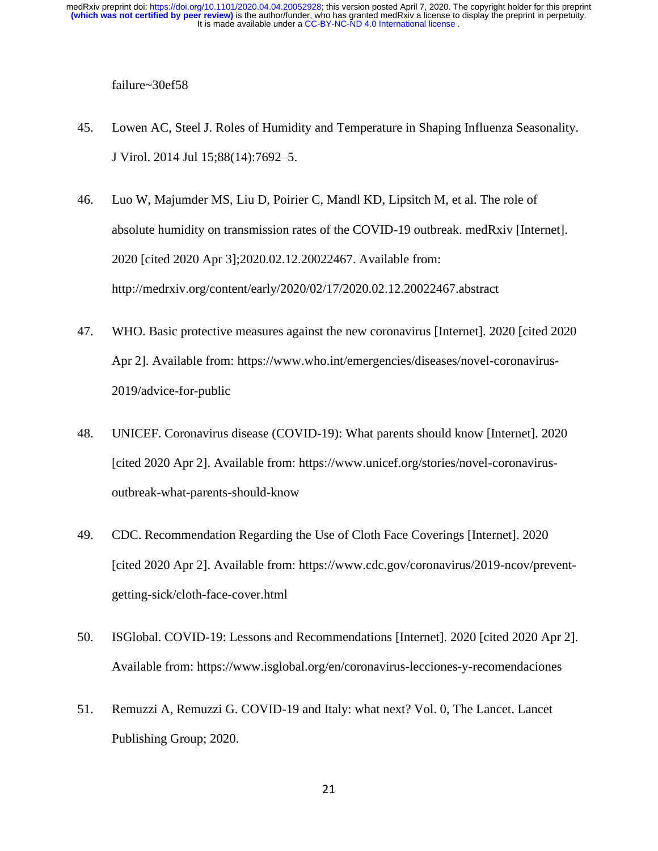failure~30ef58

- 45. Lowen AC, Steel J. Roles of Humidity and Temperature in Shaping Influenza Seasonality. J Virol. 2014 Jul 15;88(14):7692–5.
- 46. Luo W, Majumder MS, Liu D, Poirier C, Mandl KD, Lipsitch M, et al. The role of absolute humidity on transmission rates of the COVID-19 outbreak. medRxiv [Internet]. 2020 [cited 2020 Apr 3];2020.02.12.20022467. Available from: http://medrxiv.org/content/early/2020/02/17/2020.02.12.20022467.abstract
- 47. WHO. Basic protective measures against the new coronavirus [Internet]. 2020 [cited 2020 Apr 2]. Available from: https://www.who.int/emergencies/diseases/novel-coronavirus-2019/advice-for-public
- 48. UNICEF. Coronavirus disease (COVID-19): What parents should know [Internet]. 2020 [cited 2020 Apr 2]. Available from: https://www.unicef.org/stories/novel-coronavirusoutbreak-what-parents-should-know
- 49. CDC. Recommendation Regarding the Use of Cloth Face Coverings [Internet]. 2020 [cited 2020 Apr 2]. Available from: https://www.cdc.gov/coronavirus/2019-ncov/preventgetting-sick/cloth-face-cover.html
- 50. ISGlobal. COVID-19: Lessons and Recommendations [Internet]. 2020 [cited 2020 Apr 2]. Available from: https://www.isglobal.org/en/coronavirus-lecciones-y-recomendaciones
- 51. Remuzzi A, Remuzzi G. COVID-19 and Italy: what next? Vol. 0, The Lancet. Lancet Publishing Group; 2020.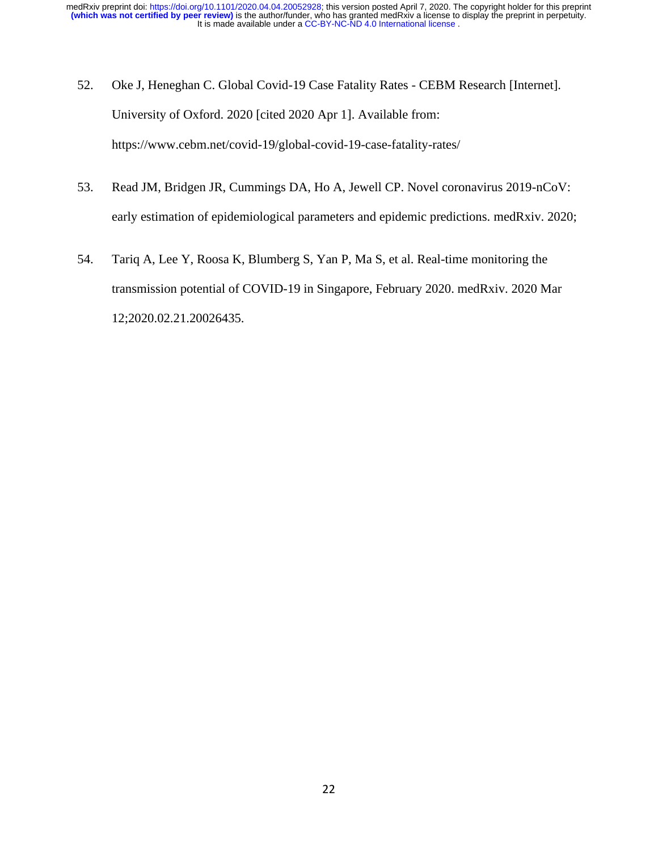- 52. Oke J, Heneghan C. Global Covid-19 Case Fatality Rates CEBM Research [Internet]. University of Oxford. 2020 [cited 2020 Apr 1]. Available from: https://www.cebm.net/covid-19/global-covid-19-case-fatality-rates/
- 53. Read JM, Bridgen JR, Cummings DA, Ho A, Jewell CP. Novel coronavirus 2019-nCoV: early estimation of epidemiological parameters and epidemic predictions. medRxiv. 2020;
- 54. Tariq A, Lee Y, Roosa K, Blumberg S, Yan P, Ma S, et al. Real-time monitoring the transmission potential of COVID-19 in Singapore, February 2020. medRxiv. 2020 Mar 12;2020.02.21.20026435.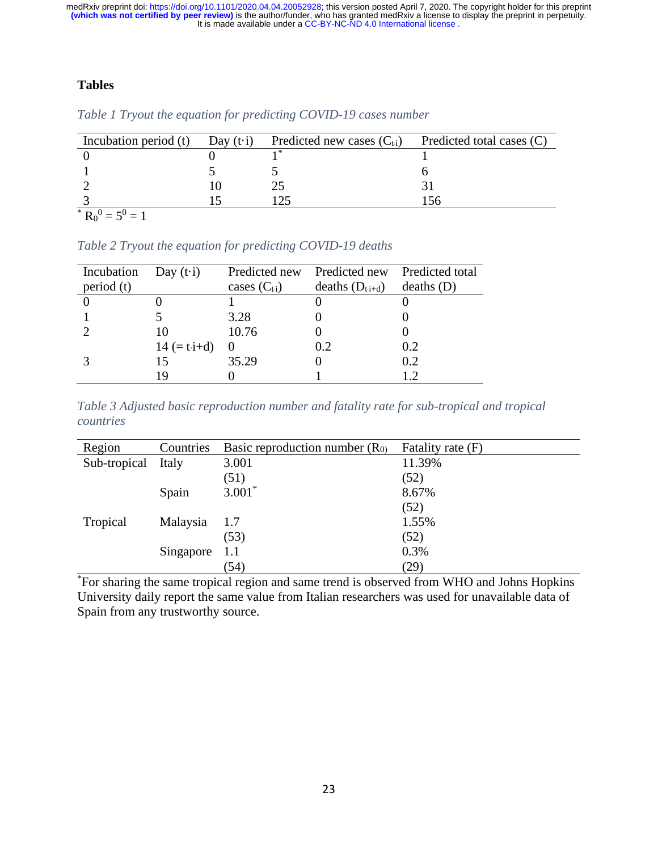# **Tables**

| Incubation period (t) | Day $(t \cdot i)$ | Predicted new cases $(C_{ti})$ Predicted total cases $(C)$ |  |
|-----------------------|-------------------|------------------------------------------------------------|--|
|                       |                   |                                                            |  |
|                       |                   |                                                            |  |
|                       |                   |                                                            |  |
|                       |                   |                                                            |  |
| * $R_0^0 = 5^0 = 1$   |                   |                                                            |  |

|  | Table 1 Tryout the equation for predicting COVID-19 cases number |  |  |  |
|--|------------------------------------------------------------------|--|--|--|
|  |                                                                  |  |  |  |

*Table 2 Tryout the equation for predicting COVID-19 deaths*

| Day $(t \cdot i)$      | Predicted new    | Predicted new Predicted total |            |
|------------------------|------------------|-------------------------------|------------|
|                        | cases $(C_{ti})$ | deaths $(D_{t.i+d})$          | deaths (D) |
|                        |                  |                               |            |
|                        | 3.28             |                               |            |
| 10                     | 10.76            |                               |            |
| 14 $(= t \cdot i + d)$ |                  | 0.2                           | 0.2        |
| 15                     | 35.29            |                               | 0.2        |
|                        |                  |                               | 12         |
|                        |                  |                               |            |

*Table 3 Adjusted basic reproduction number and fatality rate for sub-tropical and tropical countries*

| Region       | Countries | Basic reproduction number $(R0)$ | Fatality rate (F) |
|--------------|-----------|----------------------------------|-------------------|
| Sub-tropical | Italy     | 3.001                            | 11.39%            |
|              |           | (51)                             | (52)              |
|              | Spain     | $3.001*$                         | 8.67%             |
|              |           |                                  | (52)              |
| Tropical     | Malaysia  | 1.7                              | 1.55%             |
|              |           | (53)                             | (52)              |
|              | Singapore | 1.1                              | 0.3%              |
|              |           | (54)                             | (29)              |

\*For sharing the same tropical region and same trend is observed from WHO and Johns Hopkins University daily report the same value from Italian researchers was used for unavailable data of Spain from any trustworthy source.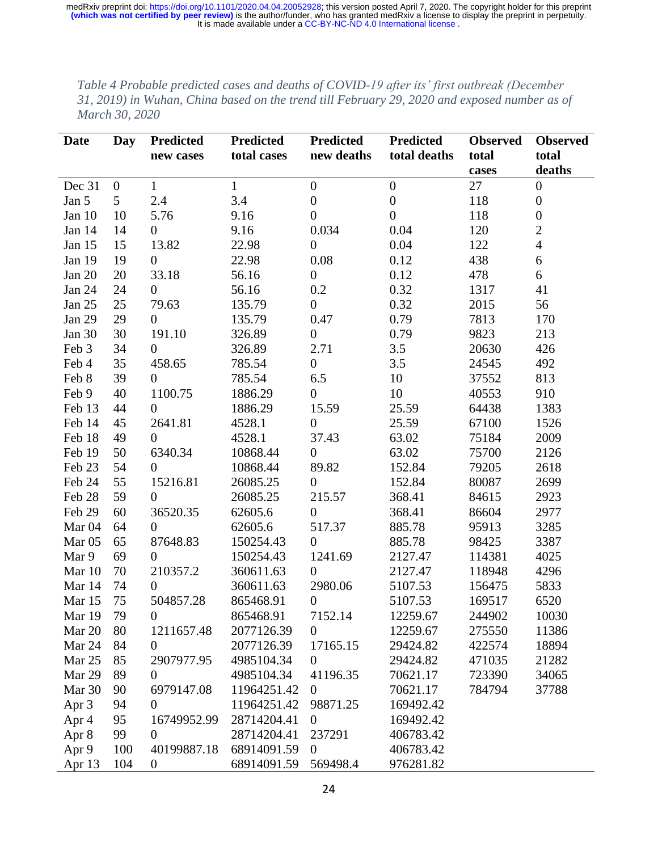*Table 4 Probable predicted cases and deaths of COVID-19 after its' first outbreak (December 31, 2019) in Wuhan, China based on the trend till February 29, 2020 and exposed number as of March 30, 2020*

| Date              | <b>Day</b>       | Predicted        | <b>Predicted</b> | Predicted        | Predicted        | <b>Observed</b> | <b>Observed</b>  |
|-------------------|------------------|------------------|------------------|------------------|------------------|-----------------|------------------|
|                   |                  | new cases        | total cases      | new deaths       | total deaths     | total           | total            |
|                   |                  |                  |                  |                  |                  | cases           | deaths           |
| Dec 31            | $\boldsymbol{0}$ | $\mathbf{1}$     | $\mathbf{1}$     | $\boldsymbol{0}$ | $\boldsymbol{0}$ | 27              | $\boldsymbol{0}$ |
| Jan 5             | 5                | 2.4              | 3.4              | $\boldsymbol{0}$ | $\boldsymbol{0}$ | 118             | $\boldsymbol{0}$ |
| Jan 10            | 10               | 5.76             | 9.16             | $\boldsymbol{0}$ | $\overline{0}$   | 118             | $\boldsymbol{0}$ |
| Jan 14            | 14               | $\overline{0}$   | 9.16             | 0.034            | 0.04             | 120             | $\overline{2}$   |
| Jan 15            | 15               | 13.82            | 22.98            | $\boldsymbol{0}$ | 0.04             | 122             | $\overline{4}$   |
| Jan 19            | 19               | $\overline{0}$   | 22.98            | 0.08             | 0.12             | 438             | 6                |
| Jan 20            | 20               | 33.18            | 56.16            | $\boldsymbol{0}$ | 0.12             | 478             | 6                |
| Jan 24            | 24               | $\overline{0}$   | 56.16            | 0.2              | 0.32             | 1317            | 41               |
| Jan 25            | 25               | 79.63            | 135.79           | $\overline{0}$   | 0.32             | 2015            | 56               |
| Jan 29            | 29               | $\overline{0}$   | 135.79           | 0.47             | 0.79             | 7813            | 170              |
| Jan $30$          | 30               | 191.10           | 326.89           | $\boldsymbol{0}$ | 0.79             | 9823            | 213              |
| Feb 3             | 34               | $\overline{0}$   | 326.89           | 2.71             | 3.5              | 20630           | 426              |
| Feb 4             | 35               | 458.65           | 785.54           | $\boldsymbol{0}$ | 3.5              | 24545           | 492              |
| Feb 8             | 39               | $\overline{0}$   | 785.54           | 6.5              | 10               | 37552           | 813              |
| Feb 9             | 40               | 1100.75          | 1886.29          | $\boldsymbol{0}$ | 10               | 40553           | 910              |
| Feb 13            | 44               | $\overline{0}$   | 1886.29          | 15.59            | 25.59            | 64438           | 1383             |
| Feb 14            | 45               | 2641.81          | 4528.1           | $\boldsymbol{0}$ | 25.59            | 67100           | 1526             |
| Feb 18            | 49               | $\overline{0}$   | 4528.1           | 37.43            | 63.02            | 75184           | 2009             |
| Feb 19            | 50               | 6340.34          | 10868.44         | $\overline{0}$   | 63.02            | 75700           | 2126             |
| Feb 23            | 54               | $\overline{0}$   | 10868.44         | 89.82            | 152.84           | 79205           | 2618             |
| Feb 24            | 55               | 15216.81         | 26085.25         | $\overline{0}$   | 152.84           | 80087           | 2699             |
| Feb 28            | 59               | $\overline{0}$   | 26085.25         | 215.57           | 368.41           | 84615           | 2923             |
| Feb 29            | 60               | 36520.35         | 62605.6          | $\overline{0}$   | 368.41           | 86604           | 2977             |
| Mar 04            | 64               | $\overline{0}$   | 62605.6          | 517.37           | 885.78           | 95913           | 3285             |
| Mar <sub>05</sub> | 65               | 87648.83         | 150254.43        | $\overline{0}$   | 885.78           | 98425           | 3387             |
| Mar 9             | 69               | $\overline{0}$   | 150254.43        | 1241.69          | 2127.47          | 114381          | 4025             |
| Mar 10            | 70               | 210357.2         | 360611.63        | $\overline{0}$   | 2127.47          | 118948          | 4296             |
| Mar 14            | 74               | $\theta$         | 360611.63        | 2980.06          | 5107.53          | 156475          | 5833             |
| Mar 15            | 75               | 504857.28        | 865468.91        | $\boldsymbol{0}$ | 5107.53          | 169517          | 6520             |
| Mar 19            | 79               | $\overline{0}$   | 865468.91        | 7152.14          | 12259.67         | 244902          | 10030            |
| Mar 20            | 80               | 1211657.48       | 2077126.39       | $\boldsymbol{0}$ | 12259.67         | 275550          | 11386            |
| Mar 24            | 84               | $\overline{0}$   | 2077126.39       | 17165.15         | 29424.82         | 422574          | 18894            |
| Mar 25            | 85               | 2907977.95       | 4985104.34       | $\overline{0}$   | 29424.82         | 471035          | 21282            |
| Mar 29            | 89               | $\overline{0}$   | 4985104.34       | 41196.35         | 70621.17         | 723390          | 34065            |
| Mar 30            | 90               | 6979147.08       | 11964251.42      | $\boldsymbol{0}$ | 70621.17         | 784794          | 37788            |
| Apr 3             | 94               | $\overline{0}$   | 11964251.42      | 98871.25         | 169492.42        |                 |                  |
| Apr 4             | 95               | 16749952.99      | 28714204.41      | $\boldsymbol{0}$ | 169492.42        |                 |                  |
| Apr 8             | 99               | $\Omega$         | 28714204.41      | 237291           | 406783.42        |                 |                  |
| Apr 9             | 100              | 40199887.18      | 68914091.59      | $\boldsymbol{0}$ | 406783.42        |                 |                  |
| Apr 13            | 104              | $\boldsymbol{0}$ | 68914091.59      | 569498.4         | 976281.82        |                 |                  |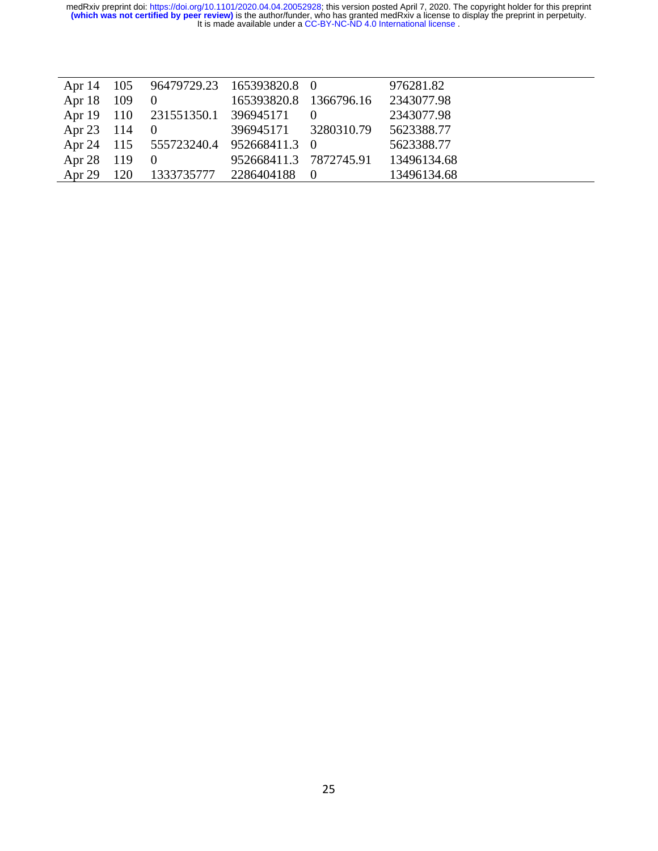| Apr $14$     | 105 | 96479729.23 165393820.8 0              |                                   | 976281.82                          |
|--------------|-----|----------------------------------------|-----------------------------------|------------------------------------|
| Apr 18 109   |     | $\begin{array}{ccc} & & 0 \end{array}$ | 165393820.8 1366796.16 2343077.98 |                                    |
|              |     | Apr 19 110 231551350.1 396945171 0     |                                   | 2343077.98                         |
| Apr 23 114   |     | $\begin{array}{cc} 0 \end{array}$      | 396945171 3280310.79 5623388.77   |                                    |
|              |     | Apr 24 115 555723240.4 952668411.3 0   |                                   | 5623388.77                         |
| Apr 28 119 0 |     |                                        |                                   | 952668411.3 7872745.91 13496134.68 |
| Apr 29 120   |     | 1333735777 2286404188 0                |                                   | 13496134.68                        |
|              |     |                                        |                                   |                                    |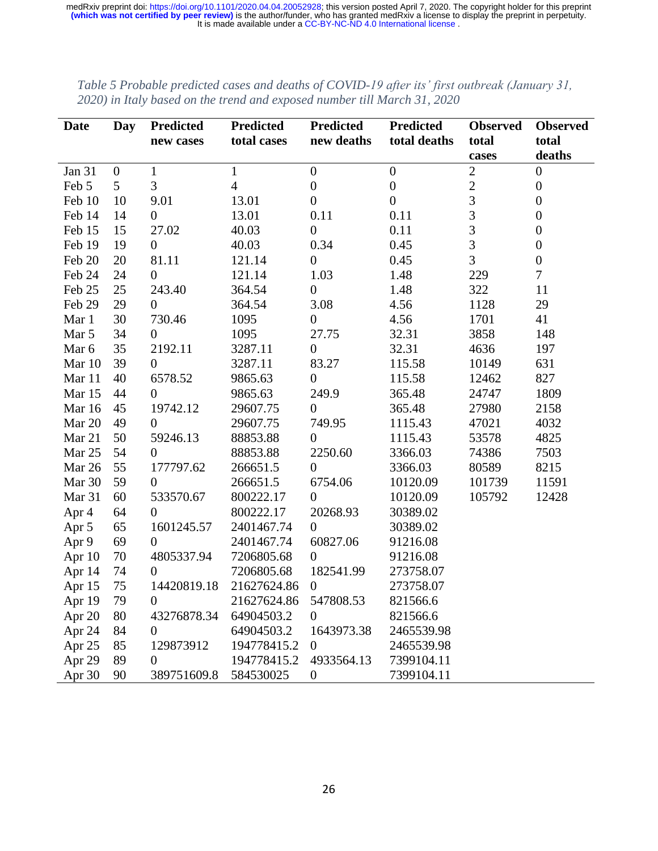| <b>Date</b>   | Day              | <b>Predicted</b> | <b>Predicted</b>      | <b>Predicted</b> | Predicted        | <b>Observed</b> | <b>Observed</b>  |
|---------------|------------------|------------------|-----------------------|------------------|------------------|-----------------|------------------|
|               |                  | new cases        | total cases           | new deaths       | total deaths     | total           | total            |
|               |                  |                  |                       |                  |                  | cases           | deaths           |
| <b>Jan 31</b> | $\boldsymbol{0}$ | $\mathbf{1}$     | $\mathbf{1}$          | $\boldsymbol{0}$ | $\boldsymbol{0}$ | $\overline{2}$  | $\boldsymbol{0}$ |
| Feb 5         | 5                | 3                | $\overline{4}$        | $\boldsymbol{0}$ | $\boldsymbol{0}$ | $\overline{c}$  | $\boldsymbol{0}$ |
| Feb 10        | 10               | 9.01             | 13.01                 | $\boldsymbol{0}$ | $\boldsymbol{0}$ | $\overline{3}$  | $\boldsymbol{0}$ |
| Feb 14        | 14               | $\overline{0}$   | 13.01                 | 0.11             | 0.11             | 3               | $\overline{0}$   |
| Feb 15        | 15               | 27.02            | 40.03                 | $\boldsymbol{0}$ | 0.11             | 3               | $\boldsymbol{0}$ |
| Feb 19        | 19               | $\overline{0}$   | 40.03                 | 0.34             | 0.45             | 3               | $\boldsymbol{0}$ |
| Feb 20        | 20               | 81.11            | 121.14                | $\boldsymbol{0}$ | 0.45             | 3               | $\boldsymbol{0}$ |
| Feb 24        | 24               | $\overline{0}$   | 121.14                | 1.03             | 1.48             | 229             | $\overline{7}$   |
| Feb 25        | 25               | 243.40           | 364.54                | $\boldsymbol{0}$ | 1.48             | 322             | 11               |
| Feb 29        | 29               | $\overline{0}$   | 364.54                | 3.08             | 4.56             | 1128            | 29               |
| Mar 1         | 30               | 730.46           | 1095                  | $\boldsymbol{0}$ | 4.56             | 1701            | 41               |
| Mar 5         | 34               | $\theta$         | 1095                  | 27.75            | 32.31            | 3858            | 148              |
| Mar 6         | 35               | 2192.11          | 3287.11               | $\overline{0}$   | 32.31            | 4636            | 197              |
| Mar 10        | 39               | $\overline{0}$   | 3287.11               | 83.27            | 115.58           | 10149           | 631              |
| Mar 11        | 40               | 6578.52          | 9865.63               | $\boldsymbol{0}$ | 115.58           | 12462           | 827              |
| Mar 15        | 44               | $\overline{0}$   | 9865.63               | 249.9            | 365.48           | 24747           | 1809             |
| Mar 16        | 45               | 19742.12         | 29607.75              | $\overline{0}$   | 365.48           | 27980           | 2158             |
| Mar 20        | 49               | $\theta$         | 29607.75              | 749.95           | 1115.43          | 47021           | 4032             |
| Mar 21        | 50               | 59246.13         | 88853.88              | $\overline{0}$   | 1115.43          | 53578           | 4825             |
| Mar 25        | 54               | $\overline{0}$   | 88853.88              | 2250.60          | 3366.03          | 74386           | 7503             |
| Mar 26        | 55               | 177797.62        | 266651.5              | $\overline{0}$   | 3366.03          | 80589           | 8215             |
| Mar 30        | 59               | $\overline{0}$   | 266651.5              | 6754.06          | 10120.09         | 101739          | 11591            |
| Mar 31        | 60               | 533570.67        | 800222.17             | $\overline{0}$   | 10120.09         | 105792          | 12428            |
| Apr 4         | 64               | $\overline{0}$   | 800222.17             | 20268.93         | 30389.02         |                 |                  |
| Apr 5         | 65               | 1601245.57       | 2401467.74            | $\boldsymbol{0}$ | 30389.02         |                 |                  |
| Apr 9         | 69               | $\overline{0}$   | 2401467.74            | 60827.06         | 91216.08         |                 |                  |
| Apr 10        | 70               | 4805337.94       | 7206805.68            | $\overline{0}$   | 91216.08         |                 |                  |
| Apr 14        | 74               | $\overline{0}$   | 7206805.68            | 182541.99        | 273758.07        |                 |                  |
| Apr 15        | 75               | 14420819.18      | 21627624.86           | $\boldsymbol{0}$ | 273758.07        |                 |                  |
| Apr 19        | 79               | $\overline{0}$   | 21627624.86 547808.53 |                  | 821566.6         |                 |                  |
| Apr 20        | 80               | 43276878.34      | 64904503.2            | $\boldsymbol{0}$ | 821566.6         |                 |                  |
| Apr 24        | 84               | 0                | 64904503.2            | 1643973.38       | 2465539.98       |                 |                  |
| Apr 25        | 85               | 129873912        | 194778415.2           | $\overline{0}$   | 2465539.98       |                 |                  |
| Apr 29        | 89               | 0                | 194778415.2           | 4933564.13       | 7399104.11       |                 |                  |
| Apr 30        | 90               | 389751609.8      | 584530025             | $\boldsymbol{0}$ | 7399104.11       |                 |                  |

*Table 5 Probable predicted cases and deaths of COVID-19 after its' first outbreak (January 31, 2020) in Italy based on the trend and exposed number till March 31, 2020*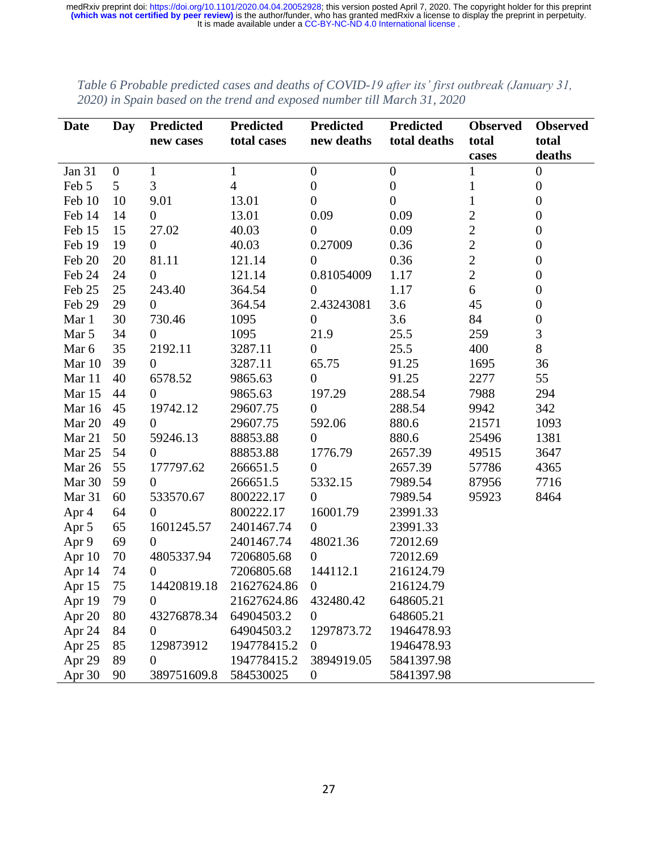| Date   | Day            | <b>Predicted</b> | <b>Predicted</b>      | <b>Predicted</b> | <b>Predicted</b> | <b>Observed</b> | <b>Observed</b>  |
|--------|----------------|------------------|-----------------------|------------------|------------------|-----------------|------------------|
|        |                | new cases        | total cases           | new deaths       | total deaths     | total           | total            |
|        |                |                  |                       |                  |                  | cases           | deaths           |
| Jan 31 | $\overline{0}$ | $\mathbf{1}$     | $\mathbf{1}$          | $\boldsymbol{0}$ | $\overline{0}$   | $\mathbf{1}$    | $\boldsymbol{0}$ |
| Feb 5  | 5              | 3                | $\overline{4}$        | $\boldsymbol{0}$ | $\boldsymbol{0}$ | $\mathbf{1}$    | $\boldsymbol{0}$ |
| Feb 10 | 10             | 9.01             | 13.01                 | $\overline{0}$   | $\boldsymbol{0}$ | $\mathbf{1}$    | $\boldsymbol{0}$ |
| Feb 14 | 14             | $\boldsymbol{0}$ | 13.01                 | 0.09             | 0.09             | $\overline{2}$  | $\boldsymbol{0}$ |
| Feb 15 | 15             | 27.02            | 40.03                 | $\overline{0}$   | 0.09             | $\overline{2}$  | $\boldsymbol{0}$ |
| Feb 19 | 19             | $\overline{0}$   | 40.03                 | 0.27009          | 0.36             | $\overline{2}$  | $\boldsymbol{0}$ |
| Feb 20 | 20             | 81.11            | 121.14                | $\overline{0}$   | 0.36             | $\overline{2}$  | $\overline{0}$   |
| Feb 24 | 24             | $\overline{0}$   | 121.14                | 0.81054009       | 1.17             | $\overline{2}$  | $\boldsymbol{0}$ |
| Feb 25 | 25             | 243.40           | 364.54                | $\overline{0}$   | 1.17             | 6               | $\boldsymbol{0}$ |
| Feb 29 | 29             | $\overline{0}$   | 364.54                | 2.43243081       | 3.6              | 45              | $\boldsymbol{0}$ |
| Mar 1  | 30             | 730.46           | 1095                  | $\boldsymbol{0}$ | 3.6              | 84              | $\boldsymbol{0}$ |
| Mar 5  | 34             | $\theta$         | 1095                  | 21.9             | 25.5             | 259             | 3                |
| Mar 6  | 35             | 2192.11          | 3287.11               | $\overline{0}$   | 25.5             | 400             | 8                |
| Mar 10 | 39             | $\overline{0}$   | 3287.11               | 65.75            | 91.25            | 1695            | 36               |
| Mar 11 | 40             | 6578.52          | 9865.63               | $\overline{0}$   | 91.25            | 2277            | 55               |
| Mar 15 | 44             | $\overline{0}$   | 9865.63               | 197.29           | 288.54           | 7988            | 294              |
| Mar 16 | 45             | 19742.12         | 29607.75              | $\overline{0}$   | 288.54           | 9942            | 342              |
| Mar 20 | 49             | $\overline{0}$   | 29607.75              | 592.06           | 880.6            | 21571           | 1093             |
| Mar 21 | 50             | 59246.13         | 88853.88              | $\overline{0}$   | 880.6            | 25496           | 1381             |
| Mar 25 | 54             | $\overline{0}$   | 88853.88              | 1776.79          | 2657.39          | 49515           | 3647             |
| Mar 26 | 55             | 177797.62        | 266651.5              | $\theta$         | 2657.39          | 57786           | 4365             |
| Mar 30 | 59             | $\overline{0}$   | 266651.5              | 5332.15          | 7989.54          | 87956           | 7716             |
| Mar 31 | 60             | 533570.67        | 800222.17             | $\overline{0}$   | 7989.54          | 95923           | 8464             |
| Apr 4  | 64             | $\overline{0}$   | 800222.17             | 16001.79         | 23991.33         |                 |                  |
| Apr 5  | 65             | 1601245.57       | 2401467.74            | $\overline{0}$   | 23991.33         |                 |                  |
| Apr 9  | 69             | $\overline{0}$   | 2401467.74            | 48021.36         | 72012.69         |                 |                  |
| Apr 10 | 70             | 4805337.94       | 7206805.68            | $\theta$         | 72012.69         |                 |                  |
| Apr 14 | 74             | $\theta$         | 7206805.68            | 144112.1         | 216124.79        |                 |                  |
| Apr 15 | 75             | 14420819.18      | 21627624.86           | $\overline{0}$   | 216124.79        |                 |                  |
| Apr 19 | 79             | $\overline{0}$   | 21627624.86 432480.42 |                  | 648605.21        |                 |                  |
| Apr 20 | 80             | 43276878.34      | 64904503.2            | $\overline{0}$   | 648605.21        |                 |                  |
| Apr 24 | 84             | $\overline{0}$   | 64904503.2            | 1297873.72       | 1946478.93       |                 |                  |
| Apr 25 | 85             | 129873912        | 194778415.2           | $\overline{0}$   | 1946478.93       |                 |                  |
| Apr 29 | 89             | 0                | 194778415.2           | 3894919.05       | 5841397.98       |                 |                  |
| Apr 30 | 90             | 389751609.8      | 584530025             | $\boldsymbol{0}$ | 5841397.98       |                 |                  |

*Table 6 Probable predicted cases and deaths of COVID-19 after its' first outbreak (January 31, 2020) in Spain based on the trend and exposed number till March 31, 2020*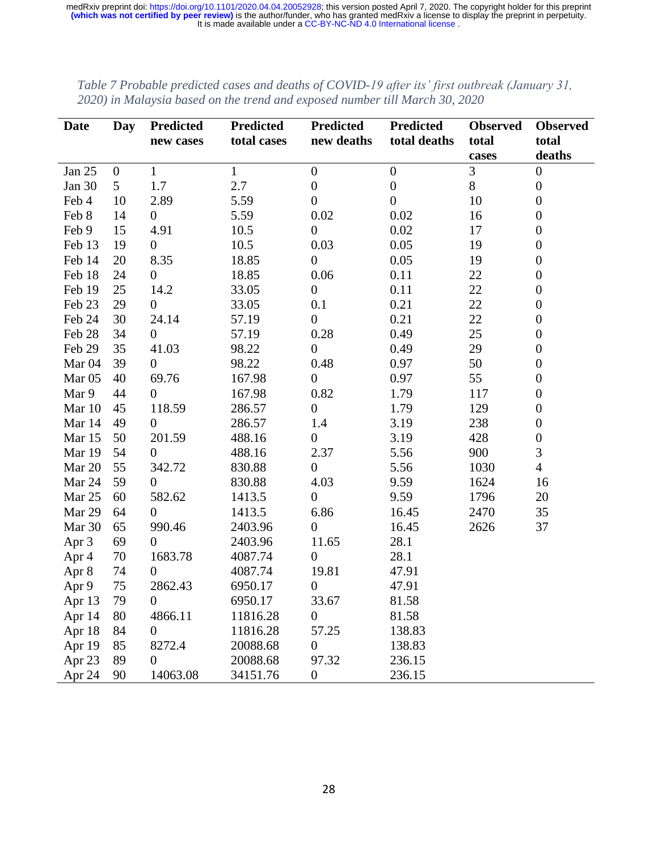| Date              | <b>Day</b>       | <b>Predicted</b> | <b>Predicted</b> | Predicted        | <b>Predicted</b> | <b>Observed</b> | <b>Observed</b>  |
|-------------------|------------------|------------------|------------------|------------------|------------------|-----------------|------------------|
|                   |                  | new cases        | total cases      | new deaths       | total deaths     | total           | total            |
|                   |                  |                  |                  |                  |                  | cases           | deaths           |
| Jan 25            | $\boldsymbol{0}$ | $\mathbf{1}$     | $\mathbf{1}$     | $\boldsymbol{0}$ | $\boldsymbol{0}$ | 3               | $\boldsymbol{0}$ |
| Jan $30$          | 5                | 1.7              | 2.7              | $\boldsymbol{0}$ | $\boldsymbol{0}$ | $8\,$           | $\boldsymbol{0}$ |
| Feb 4             | 10               | 2.89             | 5.59             | $\overline{0}$   | $\overline{0}$   | 10              | $\overline{0}$   |
| Feb 8             | 14               | $\overline{0}$   | 5.59             | 0.02             | 0.02             | 16              | $\overline{0}$   |
| Feb 9             | 15               | 4.91             | 10.5             | $\overline{0}$   | 0.02             | 17              | $\overline{0}$   |
| Feb 13            | 19               | $\overline{0}$   | 10.5             | 0.03             | 0.05             | 19              | $\boldsymbol{0}$ |
| Feb 14            | 20               | 8.35             | 18.85            | $\boldsymbol{0}$ | 0.05             | 19              | $\overline{0}$   |
| Feb 18            | 24               | $\overline{0}$   | 18.85            | 0.06             | 0.11             | 22              | $\overline{0}$   |
| Feb 19            | 25               | 14.2             | 33.05            | $\boldsymbol{0}$ | 0.11             | 22              | $\boldsymbol{0}$ |
| Feb 23            | 29               | $\boldsymbol{0}$ | 33.05            | 0.1              | 0.21             | 22              | $\overline{0}$   |
| Feb 24            | 30               | 24.14            | 57.19            | $\boldsymbol{0}$ | 0.21             | 22              | $\boldsymbol{0}$ |
| Feb 28            | 34               | $\overline{0}$   | 57.19            | 0.28             | 0.49             | 25              | $\boldsymbol{0}$ |
| Feb 29            | 35               | 41.03            | 98.22            | $\overline{0}$   | 0.49             | 29              | $\theta$         |
| Mar <sub>04</sub> | 39               | $\overline{0}$   | 98.22            | 0.48             | 0.97             | 50              | $\overline{0}$   |
| Mar $05$          | 40               | 69.76            | 167.98           | $\overline{0}$   | 0.97             | 55              | $\overline{0}$   |
| Mar 9             | 44               | $\overline{0}$   | 167.98           | 0.82             | 1.79             | 117             | $\boldsymbol{0}$ |
| Mar 10            | 45               | 118.59           | 286.57           | $\boldsymbol{0}$ | 1.79             | 129             | $\overline{0}$   |
| Mar 14            | 49               | $\mathbf{0}$     | 286.57           | 1.4              | 3.19             | 238             | $\boldsymbol{0}$ |
| Mar 15            | 50               | 201.59           | 488.16           | $\overline{0}$   | 3.19             | 428             | $\boldsymbol{0}$ |
| Mar 19            | 54               | $\overline{0}$   | 488.16           | 2.37             | 5.56             | 900             | 3                |
| Mar 20            | 55               | 342.72           | 830.88           | $\overline{0}$   | 5.56             | 1030            | $\overline{4}$   |
| Mar 24            | 59               | $\overline{0}$   | 830.88           | 4.03             | 9.59             | 1624            | 16               |
| Mar 25            | 60               | 582.62           | 1413.5           | $\overline{0}$   | 9.59             | 1796            | 20               |
| Mar 29            | 64               | $\overline{0}$   | 1413.5           | 6.86             | 16.45            | 2470            | 35               |
| Mar 30            | 65               | 990.46           | 2403.96          | $\boldsymbol{0}$ | 16.45            | 2626            | 37               |
| Apr 3             | 69               | $\overline{0}$   | 2403.96          | 11.65            | 28.1             |                 |                  |
| Apr 4             | 70               | 1683.78          | 4087.74          | $\overline{0}$   | 28.1             |                 |                  |
| Apr 8             | 74               | $\overline{0}$   | 4087.74          | 19.81            | 47.91            |                 |                  |
| Apr 9             | 75               | 2862.43          | 6950.17          | $\boldsymbol{0}$ | 47.91            |                 |                  |
| Apr 13            | 79               | $\overline{0}$   | 6950.17          | 33.67            | 81.58            |                 |                  |
| Apr 14            | 80               | 4866.11          | 11816.28         | $\boldsymbol{0}$ | 81.58            |                 |                  |
| Apr 18            | 84               | $\boldsymbol{0}$ | 11816.28         | 57.25            | 138.83           |                 |                  |
| Apr 19            | 85               | 8272.4           | 20088.68         | $\overline{0}$   | 138.83           |                 |                  |
| Apr 23            | 89               | 0                | 20088.68         | 97.32            | 236.15           |                 |                  |
| Apr 24            | 90               | 14063.08         | 34151.76         | $\boldsymbol{0}$ | 236.15           |                 |                  |

*Table 7 Probable predicted cases and deaths of COVID-19 after its' first outbreak (January 31, 2020) in Malaysia based on the trend and exposed number till March 30, 2020*